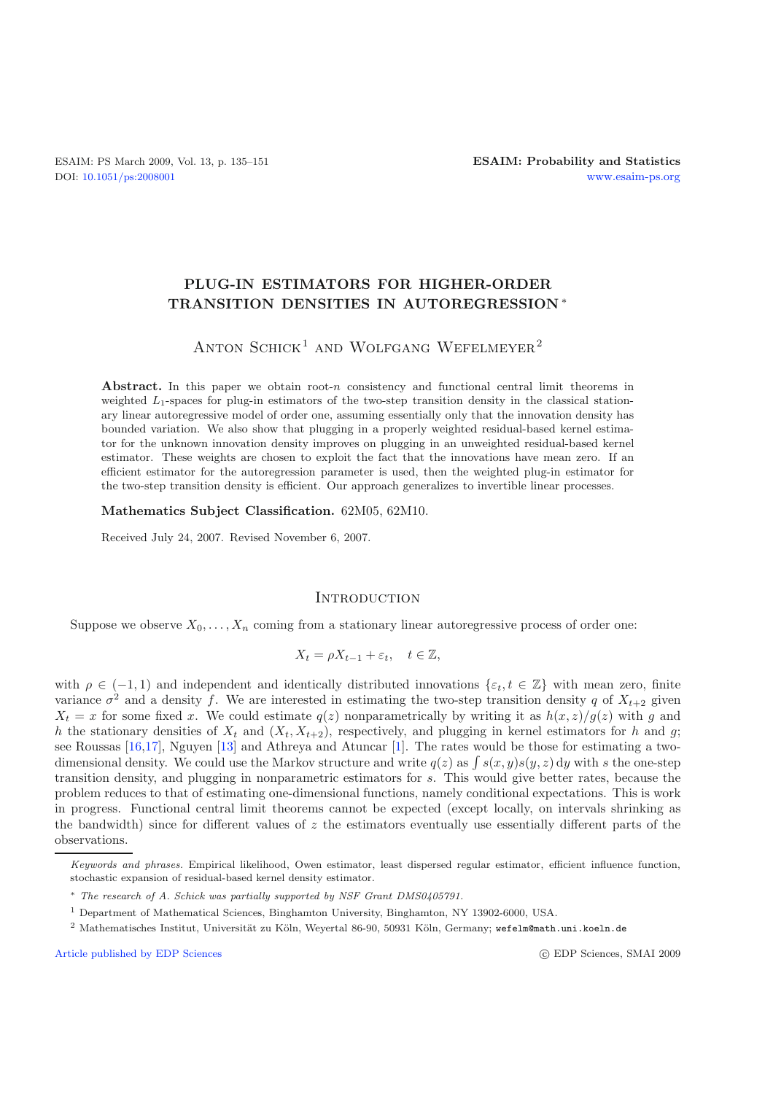## **PLUG-IN ESTIMATORS FOR HIGHER-ORDER TRANSITION DENSITIES IN AUTOREGRESSION** ∗

# ANTON SCHICK<sup>1</sup> AND WOLFGANG WEFELMEYER<sup>2</sup>

Abstract. In this paper we obtain root-*n* consistency and functional central limit theorems in weighted *L*1-spaces for plug-in estimators of the two-step transition density in the classical stationary linear autoregressive model of order one, assuming essentially only that the innovation density has bounded variation. We also show that plugging in a properly weighted residual-based kernel estimator for the unknown innovation density improves on plugging in an unweighted residual-based kernel estimator. These weights are chosen to exploit the fact that the innovations have mean zero. If an efficient estimator for the autoregression parameter is used, then the weighted plug-in estimator for the two-step transition density is efficient. Our approach generalizes to invertible linear processes.

### **Mathematics Subject Classification.** 62M05, 62M10.

Received July 24, 2007. Revised November 6, 2007.

### **INTRODUCTION**

Suppose we observe  $X_0, \ldots, X_n$  coming from a stationary linear autoregressive process of order one:

$$
X_t = \rho X_{t-1} + \varepsilon_t, \quad t \in \mathbb{Z},
$$

with  $\rho \in (-1, 1)$  and independent and identically distributed innovations  $\{\varepsilon_t, t \in \mathbb{Z}\}\$  with mean zero, finite variance  $\sigma^2$  and a density f. We are interested in estimating the two-step transition density q of  $X_{t+2}$  given  $X_t = x$  for some fixed x. We could estimate  $q(z)$  nonparametrically by writing it as  $h(x, z)/g(z)$  with g and h the stationary densities of  $X_t$  and  $(X_t, X_{t+2})$ , respectively, and plugging in kernel estimators for h and g; see Roussas [\[16](#page-15-0)[,17\]](#page-15-1), Nguyen [\[13\]](#page-15-2) and Athreya and Atuncar [\[1](#page-15-3)]. The rates would be those for estimating a twodimensional density. We could use the Markov structure and write  $q(z)$  as  $\int s(x, y)s(y, z) dy$  with s the one-step<br>transition density, and plugging in nonparametric estimators for s. This would give better rates, because the transition density, and plugging in nonparametric estimators for s. This would give better rates, because the problem reduces to that of estimating one-dimensional functions, namely conditional expectations. This is work in progress. Functional central limit theorems cannot be expected (except locally, on intervals shrinking as the bandwidth) since for different values of  $z$  the estimators eventually use essentially different parts of the observations.

[Article published by EDP Sciences](http://www.edpsciences.org) c EDP Sciences c EDP Sciences, SMAI 2009

Keywords and phrases. Empirical likelihood, Owen estimator, least dispersed regular estimator, efficient influence function, stochastic expansion of residual-based kernel density estimator.

<sup>∗</sup> The research of A. Schick was partially supported by NSF Grant DMS0405791.

<sup>1</sup> Department of Mathematical Sciences, Binghamton University, Binghamton, NY 13902-6000, USA.

<sup>&</sup>lt;sup>2</sup> Mathematisches Institut, Universität zu Köln, Weyertal 86-90, 50931 Köln, Germany; wefelm@math.uni.koeln.de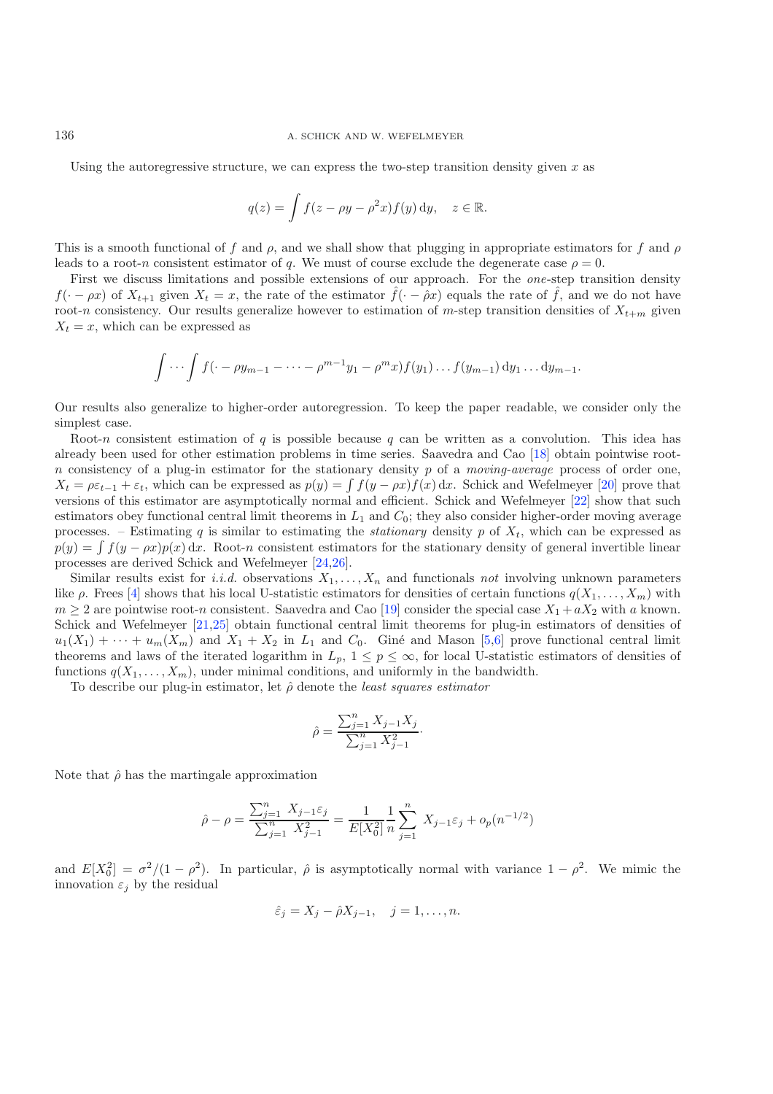Using the autoregressive structure, we can express the two-step transition density given  $x$  as

$$
q(z) = \int f(z - \rho y - \rho^2 x) f(y) \, dy, \quad z \in \mathbb{R}.
$$

This is a smooth functional of f and  $\rho$ , and we shall show that plugging in appropriate estimators for f and  $\rho$ leads to a root-n consistent estimator of q. We must of course exclude the degenerate case  $\rho = 0$ .

First we discuss limitations and possible extensions of our approach. For the *one*-step transition density  $f(\cdot - \rho x)$  of  $X_{t+1}$  given  $X_t = x$ , the rate of the estimator  $\hat{f}(\cdot - \hat{\rho} x)$  equals the rate of  $\hat{f}$ , and we do not have root-n consistency. Our results generalize however to estimation of m-step transition densities of  $X_{t+m}$  given  $X_t = x$ , which can be expressed as

$$
\int \cdots \int f(\cdot - \rho y_{m-1} - \cdots - \rho^{m-1} y_1 - \rho^m x) f(y_1) \ldots f(y_{m-1}) dy_1 \ldots dy_{m-1}.
$$

Our results also generalize to higher-order autoregression. To keep the paper readable, we consider only the simplest case.

Root-n consistent estimation of q is possible because q can be written as a convolution. This idea has already been used for other estimation problems in time series. Saavedra and Cao [\[18\]](#page-15-4) obtain pointwise rootn consistency of a plug-in estimator for the stationary density p of a *moving-average* process of order one,  $X_t = \rho \varepsilon_{t-1} + \varepsilon_t$ , which can be expressed as  $p(y) = \int f(y - \rho x) f(x) dx$ . Schick and Wefelmeyer [\[20\]](#page-16-0) prove that versions of this estimator are asymptotically normal and efficient. Schick and Wefelmeyer [22] show that such versions of this estimator are asymptotically normal and efficient. Schick and Wefelmeyer [\[22\]](#page-16-1) show that such estimators obey functional central limit theorems in  $L_1$  and  $C_0$ ; they also consider higher-order moving average processes. – Estimating q is similar to estimating the *stationary* density p of  $X_t$ , which can be expressed as  $p(y) = \int f(y - \rho x)p(x) dx$ . Root-n consistent estimators for the stationary density of general invertible linear<br>processes are derived Schick and Wefelmover [24.26] processes are derived Schick and Wefelmeyer [\[24](#page-16-2)[,26\]](#page-16-3).

Similar results exist for *i.i.d.* observations  $X_1, \ldots, X_n$  and functionals *not* involving unknown parameters like  $\rho$ . Frees [\[4\]](#page-15-5) shows that his local U-statistic estimators for densities of certain functions  $q(X_1,...,X_m)$  with  $m \geq 2$  are pointwise root-n consistent. Saavedra and Cao [\[19\]](#page-16-4) consider the special case  $X_1 + aX_2$  with a known. Schick and Wefelmeyer [\[21](#page-16-5)[,25\]](#page-16-6) obtain functional central limit theorems for plug-in estimators of densities of  $u_1(X_1) + \cdots + u_m(X_m)$  and  $X_1 + X_2$  in  $L_1$  and  $C_0$ . Giné and Mason [\[5](#page-15-6)[,6\]](#page-15-7) prove functional central limit theorems and laws of the iterated logarithm in  $L_p$ ,  $1 \leq p \leq \infty$ , for local U-statistic estimators of densities of functions  $q(X_1,...,X_m)$ , under minimal conditions, and uniformly in the bandwidth.

To describe our plug-in estimator, let  $\hat{\rho}$  denote the *least squares estimator* 

$$
\hat{\rho} = \frac{\sum_{j=1}^{n} X_{j-1} X_j}{\sum_{j=1}^{n} X_{j-1}^2}.
$$

Note that  $\hat{\rho}$  has the martingale approximation

$$
\hat{\rho} - \rho = \frac{\sum_{j=1}^{n} X_{j-1} \varepsilon_j}{\sum_{j=1}^{n} X_{j-1}^2} = \frac{1}{E[X_0^2]} \frac{1}{n} \sum_{j=1}^{n} X_{j-1} \varepsilon_j + o_p(n^{-1/2})
$$

and  $E[X_0^2] = \sigma^2/(1 - \rho^2)$ . In particular,  $\hat{\rho}$  is asymptotically normal with variance  $1 - \rho^2$ . We mimic the innovation  $\varepsilon$ , by the residual innovation  $\varepsilon_j$  by the residual

$$
\hat{\varepsilon}_j = X_j - \hat{\rho} X_{j-1}, \quad j = 1, \dots, n.
$$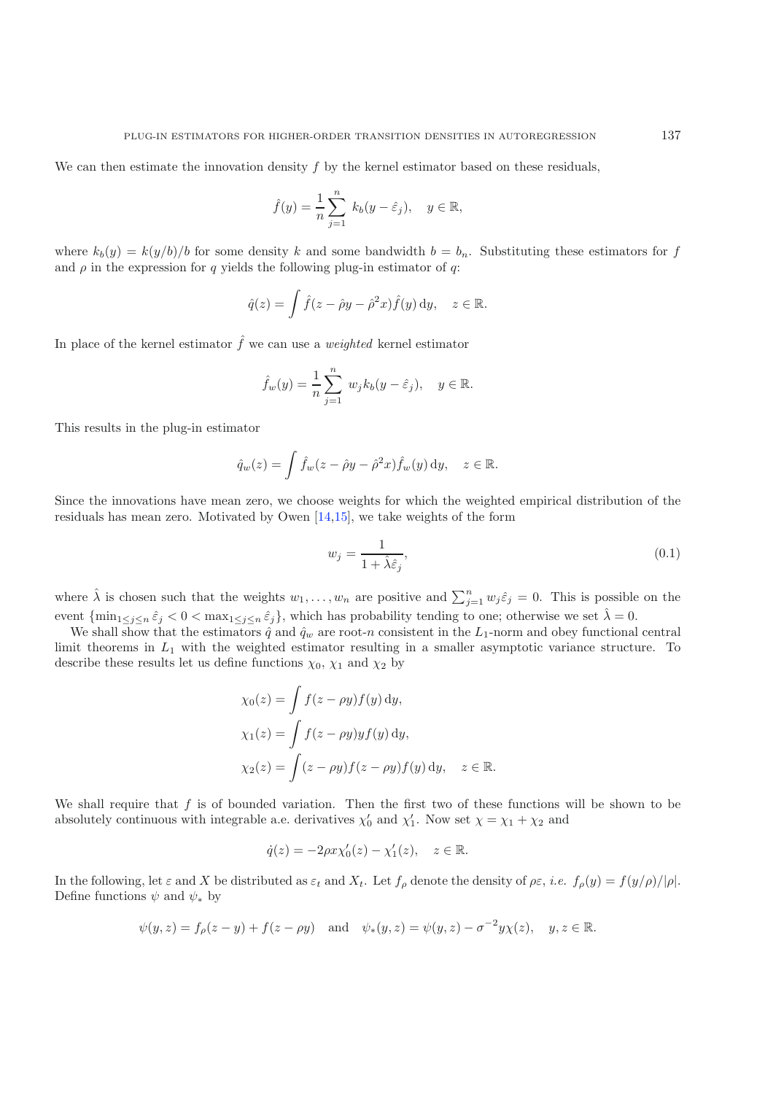We can then estimate the innovation density  $f$  by the kernel estimator based on these residuals,

$$
\hat{f}(y) = \frac{1}{n} \sum_{j=1}^{n} k_b(y - \hat{\varepsilon}_j), \quad y \in \mathbb{R},
$$

where  $k_b(y) = k(y/b)/b$  for some density k and some bandwidth  $b = b_n$ . Substituting these estimators for f and  $\rho$  in the expression for q yields the following plug-in estimator of q:

$$
\hat{q}(z) = \int \hat{f}(z - \hat{\rho}y - \hat{\rho}^2x)\hat{f}(y) \,dy, \quad z \in \mathbb{R}.
$$

In place of the kernel estimator  $\hat{f}$  we can use a *weighted* kernel estimator

$$
\hat{f}_w(y) = \frac{1}{n} \sum_{j=1}^n w_j k_b(y - \hat{\varepsilon}_j), \quad y \in \mathbb{R}.
$$

This results in the plug-in estimator

$$
\hat{q}_w(z) = \int \hat{f}_w(z - \hat{\rho}y - \hat{\rho}^2x) \hat{f}_w(y) \, dy, \quad z \in \mathbb{R}.
$$

Since the innovations have mean zero, we choose weights for which the weighted empirical distribution of the residuals has mean zero. Motivated by Owen [\[14](#page-15-8)[,15](#page-15-9)], we take weights of the form

$$
w_j = \frac{1}{1 + \hat{\lambda}\hat{\varepsilon}_j},\tag{0.1}
$$

where  $\hat{\lambda}$  is chosen such that the weights  $w_1, \ldots, w_n$  are positive and  $\sum_{j=1}^n w_j \hat{\varepsilon}_j = 0$ . This is possible on the event  $\{\min_{1\leq j\leq n}\hat{\varepsilon}_j < 0 < \max_{1\leq j\leq n}\hat{\varepsilon}_j\}$ , which has probability tending to one; otherwise we set  $\hat{\lambda} = 0$ .

We shall show that the estimators  $\hat{q}$  and  $\hat{q}_w$  are root-n consistent in the  $L_1$ -norm and obey functional central limit theorems in  $L_1$  with the weighted estimator resulting in a smaller asymptotic variance structure. To describe these results let us define functions  $\chi_0$ ,  $\chi_1$  and  $\chi_2$  by

$$
\chi_0(z) = \int f(z - \rho y) f(y) dy,
$$
  
\n
$$
\chi_1(z) = \int f(z - \rho y) y f(y) dy,
$$
  
\n
$$
\chi_2(z) = \int (z - \rho y) f(z - \rho y) f(y) dy, \quad z \in \mathbb{R}.
$$

We shall require that  $f$  is of bounded variation. Then the first two of these functions will be shown to be absolutely continuous with integrable a.e. derivatives  $\chi'_0$  and  $\chi'_1$ . Now set  $\chi = \chi_1 + \chi_2$  and

$$
\dot{q}(z) = -2\rho x \chi_0'(z) - \chi_1'(z), \quad z \in \mathbb{R}.
$$

In the following, let  $\varepsilon$  and X be distributed as  $\varepsilon_t$  and  $X_t$ . Let  $f_\rho$  denote the density of  $\rho \varepsilon$ , *i.e.*  $f_\rho(y) = f(y/\rho)/|\rho|$ . Define functions  $\psi$  and  $\psi_*$  by

$$
\psi(y, z) = f_{\rho}(z - y) + f(z - \rho y)
$$
 and  $\psi_*(y, z) = \psi(y, z) - \sigma^{-2} y \chi(z)$ ,  $y, z \in \mathbb{R}$ .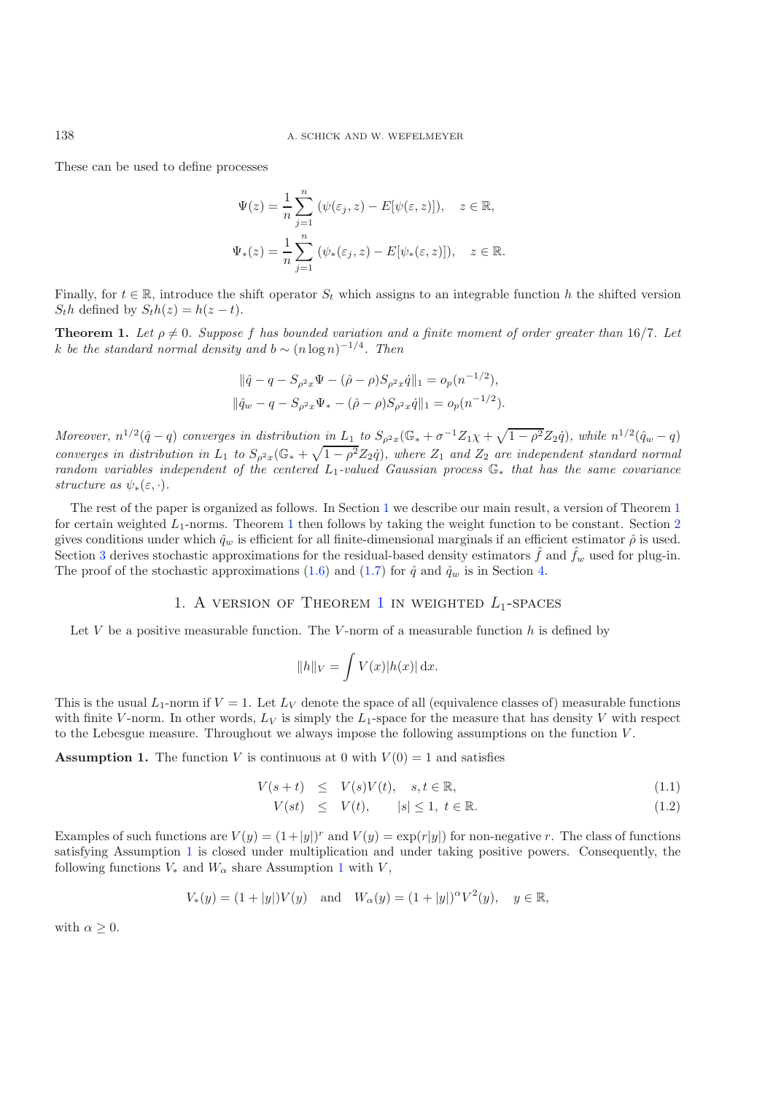These can be used to define processes

$$
\Psi(z) = \frac{1}{n} \sum_{j=1}^{n} (\psi(\varepsilon_j, z) - E[\psi(\varepsilon, z)]), \quad z \in \mathbb{R},
$$
  

$$
\Psi_*(z) = \frac{1}{n} \sum_{j=1}^{n} (\psi_*(\varepsilon_j, z) - E[\psi_*(\varepsilon, z)]), \quad z \in \mathbb{R}.
$$

<span id="page-3-1"></span>Finally, for  $t \in \mathbb{R}$ , introduce the shift operator  $S_t$  which assigns to an integrable function h the shifted version  $S<sub>t</sub>h$  defined by  $S<sub>t</sub>h(z) = h(z - t)$ .

**Theorem 1.** Let  $\rho \neq 0$ *. Suppose* f has bounded variation and a finite moment of order greater than 16/7*.* Let k *be the standard normal density and*  $b \sim (n \log n)^{-1/4}$ . Then

$$
\|\hat{q} - q - S_{\rho^2 x} \Psi - (\hat{\rho} - \rho) S_{\rho^2 x} \hat{q}\|_1 = o_p(n^{-1/2}),
$$
  

$$
\|\hat{q}_w - q - S_{\rho^2 x} \Psi_* - (\hat{\rho} - \rho) S_{\rho^2 x} \hat{q}\|_1 = o_p(n^{-1/2}).
$$

*Moreover,*  $n^{1/2}(\hat{q}-q)$  *converges in distribution in*  $L_1$  *to*  $S_{\rho^2 x}(\mathbb{G}_* + \sigma^{-1}Z_1\chi + \sqrt{1-\rho^2}Z_2\dot{q})$ *, while*  $n^{1/2}(\hat{q}_w-q)$ *converges in distribution in*  $L_1$  *to*  $S_{\rho^2 x}(\mathbb{G}_* + \sqrt{1-\rho^2}Z_2\dot{q})$ *, where*  $Z_1$  *and*  $Z_2$  *are independent standard normal random variables independent of the centered* <sup>L</sup><sup>1</sup>*-valued Gaussian process* <sup>G</sup><sup>∗</sup> *that has the same covariance structure as*  $\psi_*(\varepsilon, \cdot)$ *.* 

The rest of the paper is organized as follows. In Section [1](#page-3-0) we describe our main result, a version of Theorem [1](#page-3-1) for certain weighted  $L_1$  $L_1$ -norms. Theorem 1 then follows by taking the weight function to be constant. Section [2](#page-6-0) gives conditions under which  $\hat{q}_w$  is efficient for all finite-dimensional marginals if an efficient estimator  $\hat{\rho}$  is used. Section [3](#page-7-0) derives stochastic approximations for the residual-based density estimators  $\hat{f}$  and  $\hat{f}_w$  used for plug-in. The proof of the stochastic approximations [\(1.6\)](#page-4-0) and [\(1.7\)](#page-4-0) for  $\hat{q}$  and  $\hat{q}_w$  is in Section [4.](#page-13-0)

### 1. A version of Theorem [1](#page-3-1) in weighted *L*1-spaces

<span id="page-3-0"></span>Let V be a positive measurable function. The V-norm of a measurable function  $h$  is defined by

$$
||h||_V = \int V(x)|h(x)| \,\mathrm{d}x.
$$

This is the usual  $L_1$ -norm if  $V = 1$ . Let  $L_V$  denote the space of all (equivalence classes of) measurable functions with finite V-norm. In other words,  $L_V$  is simply the  $L_1$ -space for the measure that has density V with respect to the Lebesgue measure. Throughout we always impose the following assumptions on the function  $V$ .

<span id="page-3-2"></span>**Assumption 1.** The function V is continuous at 0 with  $V(0) = 1$  and satisfies

<span id="page-3-3"></span>
$$
V(s+t) \leq V(s)V(t), \quad s, t \in \mathbb{R}, \tag{1.1}
$$

$$
V(st) \le V(t), \qquad |s| \le 1, \ t \in \mathbb{R}.
$$
\n
$$
(1.2)
$$

Examples of such functions are  $V(y) = (1+|y|)^r$  and  $V(y) = \exp(r|y|)$  for non-negative r. The class of functions satisfying Assumption [1](#page-3-2) is closed under multiplication and under taking positive powers. Consequently, the following functions  $V_*$  and  $W_\alpha$  share Assumption [1](#page-3-2) with  $V$ ,

$$
V_*(y) = (1+|y|)V(y)
$$
 and  $W_{\alpha}(y) = (1+|y|)^{\alpha}V^2(y), y \in \mathbb{R},$ 

with  $\alpha \geq 0$ .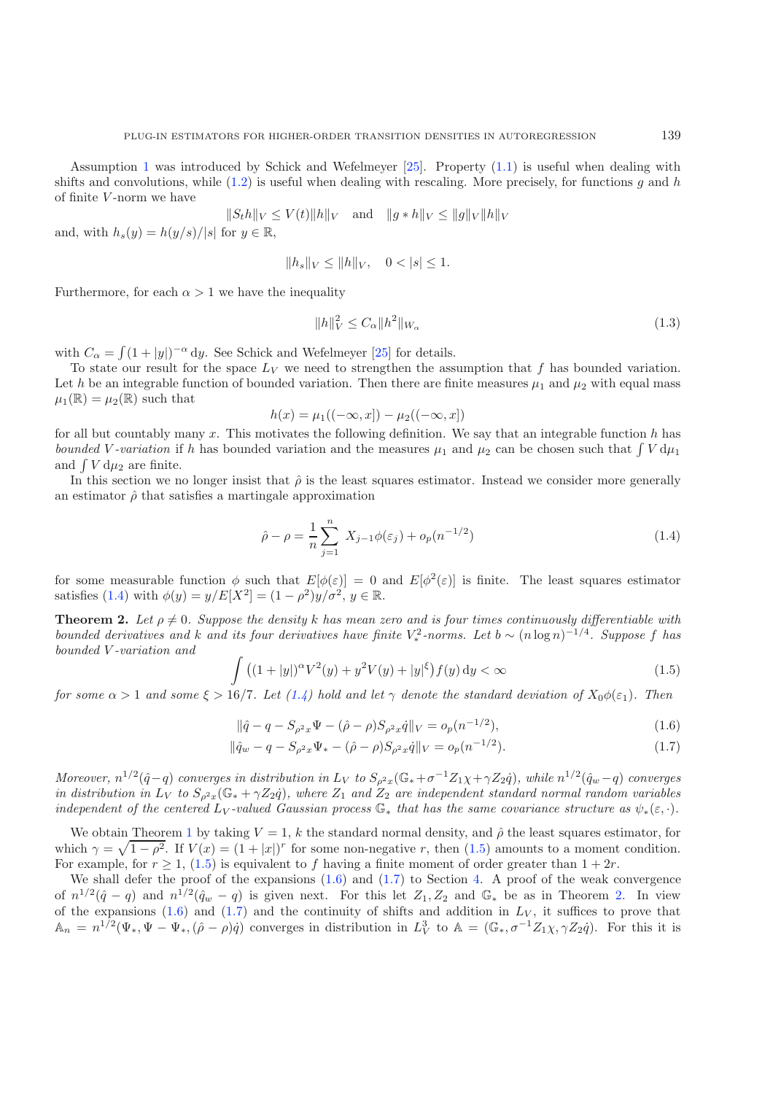Assumption [1](#page-3-2) was introduced by Schick and Wefelmeyer [\[25\]](#page-16-6). Property [\(1.1\)](#page-3-3) is useful when dealing with shifts and convolutions, while  $(1.2)$  is useful when dealing with rescaling. More precisely, for functions g and h of finite  $V$ -norm we have

<span id="page-4-4"></span>
$$
||S_t h||_V \le V(t) ||h||_V \quad \text{and} \quad ||g * h||_V \le ||g||_V ||h||_V
$$
  
or  $u \in \mathbb{R}$ .

and, with  $h_s(y) = h(y/s)/|s|$  for  $y \in \mathbb{R}$ ,

$$
||h_s||_V \le ||h||_V, \quad 0 < |s| \le 1.
$$

Furthermore, for each  $\alpha > 1$  we have the inequality

$$
||h||_V^2 \le C_\alpha ||h^2||_{W_\alpha}
$$
\n(1.3)

<span id="page-4-1"></span>with  $C_{\alpha} = \int (1 + |y|)^{-\alpha} dy$ . See Schick and Wefelmeyer [\[25\]](#page-16-6) for details.<br>To state our result for the space Ly we need to strengthen the ass

To state our result for the space  $L_V$  we need to strengthen the assumption that f has bounded variation. Let h be an integrable function of bounded variation. Then there are finite measures  $\mu_1$  and  $\mu_2$  with equal mass  $\mu_1(\mathbb{R}) = \mu_2(\mathbb{R})$  such that

$$
h(x) = \mu_1((-\infty, x]) - \mu_2((-\infty, x])
$$

for all but countably many x. This motivates the following definition. We say that an integrable function h has hounded  $V$ -variation if h has bounded variation and the measures  $u_0$  and  $u_0$  can be chosen such that  $\int V du_0$ *bounded* V-variation if h has bounded variation and the measures  $\mu_1$  and  $\mu_2$  can be chosen such that  $\int V d\mu_1$ <br>and  $\int V d\mu_2$  are finite and  $\int V d\mu_2$  are finite.<br>In this section we n

<span id="page-4-2"></span>In this section we no longer insist that  $\hat{\rho}$  is the least squares estimator. Instead we consider more generally an estimator  $\hat{\rho}$  that satisfies a martingale approximation

$$
\hat{\rho} - \rho = \frac{1}{n} \sum_{j=1}^{n} X_{j-1} \phi(\varepsilon_j) + o_p(n^{-1/2})
$$
\n(1.4)

<span id="page-4-3"></span>for some measurable function  $\phi$  such that  $E[\phi(\varepsilon)] = 0$  and  $E[\phi^2(\varepsilon)]$  is finite. The least squares estimator satisfies [\(1.4\)](#page-4-1) with  $\phi(y) = y/E[X^2] = (1 - \rho^2)y/\sigma^2$ ,  $y \in \mathbb{R}$ .

**Theorem 2.** Let  $\rho \neq 0$ . Suppose the density k has mean zero and is four times continuously differentiable with *bounded derivatives and k and its four derivatives have finite*  $V_*^2$ -norms. Let  $b \sim (n \log n)^{-1/4}$ . Suppose f has bounded V-variation and *bounded* V *-variation and*

$$
\int ((1+|y|)^{\alpha} V^{2}(y) + y^{2} V(y) + |y|^\xi) f(y) dy < \infty
$$
\n(1.5)

<span id="page-4-0"></span>*for some*  $\alpha > 1$  *and some*  $\xi > 16/7$ *. Let*  $(1.4)$  *hold and let*  $\gamma$  *denote the standard deviation of*  $X_0 \phi(\varepsilon_1)$ *. Then* 

$$
\|\hat{q} - q - S_{\rho^2 x} \Psi - (\hat{\rho} - \rho) S_{\rho^2 x} \hat{q} \|_{V} = o_p(n^{-1/2}),
$$
\n(1.6)

$$
\|\hat{q}_w - q - S_{\rho^2 x} \Psi_* - (\hat{\rho} - \rho) S_{\rho^2 x} \dot{q}\|_V = o_p(n^{-1/2}).\tag{1.7}
$$

*Moreover,*  $n^{1/2}(\hat{q}-q)$  *converges in distribution in*  $L_V$  *to*  $S_{\rho^2x}(\mathbb{G}_*+\sigma^{-1}Z_1\chi+\gamma Z_2\hat{q})$ *, while*  $n^{1/2}(\hat{q}_w-q)$  *converges in distribution in*  $L_V$  *to*  $S_{\rho^2x}(\mathbb{G}_* + \gamma Z_2q)$ *, where*  $Z_1$  *and*  $Z_2$  *are independent standard normal random variables independent of the centered*  $L_V$ -valued Gaussian process  $\mathbb{G}_*$  *that has the same covariance structure as*  $\psi_*(\varepsilon, \cdot)$ *.* 

We obtain Theorem [1](#page-3-1) by taking  $V = 1$ , k the standard normal density, and  $\hat{\rho}$  the least squares estimator, for which  $\gamma = \sqrt{1 - \rho^2}$ . If  $V(x) = (1 + |x|)^r$  for some non-negative r, then [\(1.5\)](#page-4-2) amounts to a moment condition. For example, for  $r \geq 1$ , [\(1.5\)](#page-4-2) is equivalent to f having a finite moment of order greater than  $1 + 2r$ .

We shall defer the proof of the expansions  $(1.6)$  and  $(1.7)$  to Section [4.](#page-13-0) A proof of the weak convergence of  $n^{1/2}(\hat{q}-q)$  and  $n^{1/2}(\hat{q}_w-q)$  is given next. For this let  $Z_1, Z_2$  and  $\mathbb{G}_*$  be as in Theorem [2.](#page-4-3) In view<br>of the expansions (1.6) and (1.7) and the continuity of shifts and addition in L<sub>V</sub> it suffices to pr of the expansions [\(1.6\)](#page-4-0) and [\(1.7\)](#page-4-0) and the continuity of shifts and addition in  $L_V$ , it suffices to prove that  $\Lambda = n^{1/2}(\Psi - \Psi)(\hat{\rho} - q)\hat{\rho}$  converges in distribution in  $L^3$  to  $\Lambda = (\mathbb{C} - \sigma^{-1}Z_1 \times \gamma Z_2 \hat{\rho})$ . For this  $\mathbb{A}_n = n^{1/2}(\Psi_*, \Psi - \Psi_*, (\hat{\rho} - \rho)\dot{q})$  converges in distribution in  $L^3_V$  to  $\mathbb{A} = (\mathbb{G}_*, \sigma^{-1}Z_1\chi, \gamma Z_2\dot{q})$ . For this it is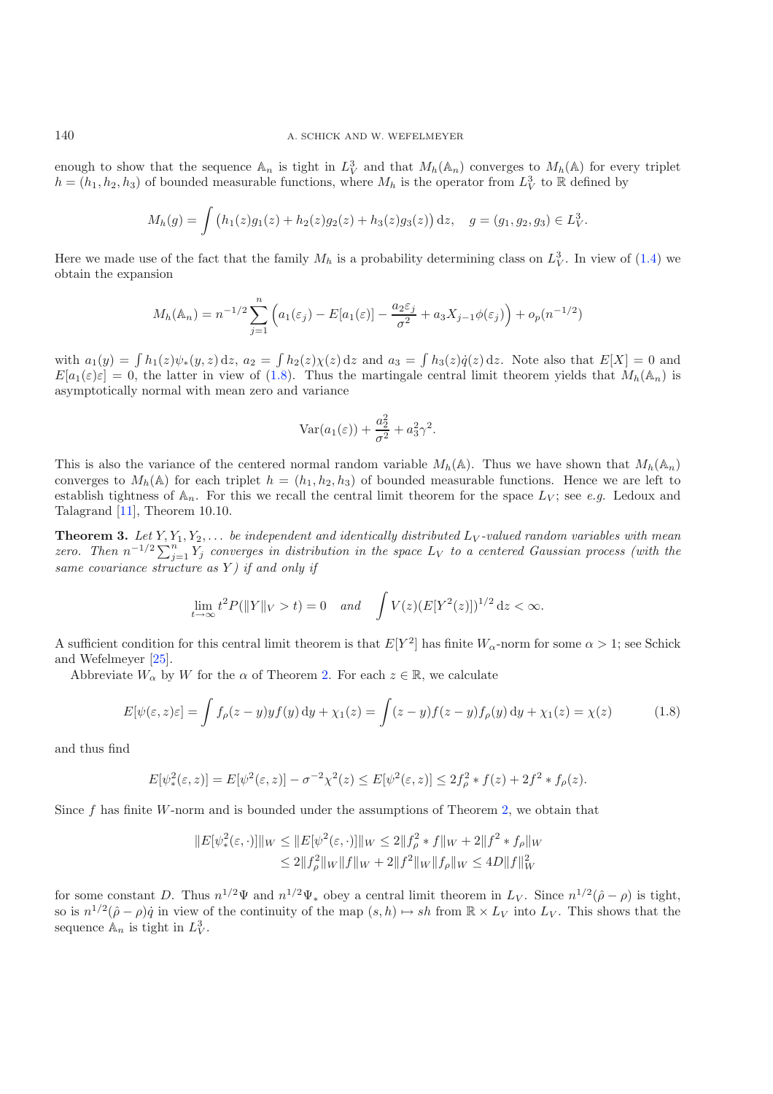enough to show that the sequence  $\mathbb{A}_n$  is tight in  $L_V^3$  and that  $M_h(\mathbb{A}_n)$  converges to  $M_h(\mathbb{A})$  for every triplet  $h = (h, h_0, h_0)$  of bounded measurable functions, where M, is the operator from  $L^3$  to  $\mathbb{R}$  $h = (h_1, h_2, h_3)$  of bounded measurable functions, where  $M_h$  is the operator from  $L_V^3$  to R defined by

$$
M_h(g) = \int (h_1(z)g_1(z) + h_2(z)g_2(z) + h_3(z)g_3(z)) dz, \quad g = (g_1, g_2, g_3) \in L^3_V.
$$

Here we made use of the fact that the family  $M_h$  is a probability determining class on  $L_V^3$ . In view of [\(1.4\)](#page-4-1) we obtain the expansion obtain the expansion

$$
M_h(\mathbb{A}_n) = n^{-1/2} \sum_{j=1}^n \left( a_1(\varepsilon_j) - E[a_1(\varepsilon)] - \frac{a_2 \varepsilon_j}{\sigma^2} + a_3 X_{j-1} \phi(\varepsilon_j) \right) + o_p(n^{-1/2})
$$

with  $a_1(y) = \int h_1(z)\psi_*(y, z) dz$ ,  $a_2 = \int h_2(z)\chi(z) dz$  and  $a_3 = \int h_3(z)\dot{q}(z) dz$ . Note also that  $E[X] = 0$  and  $E[a_1(z)z] = 0$  the latter in view of (1.8). Thus the martingale central limit theorem vields that  $M_1(\mathbb{A})$  is  $E[a_1(\varepsilon)\varepsilon] = 0$ , the latter in view of [\(1.8\)](#page-5-0). Thus the martingale central limit theorem yields that  $M_h(\mathbb{A}_n)$  is asymptotically normal with mean zero and variance

$$
Var(a_1(\varepsilon)) + \frac{a_2^2}{\sigma^2} + a_3^2 \gamma^2.
$$

This is also the variance of the centered normal random variable  $M_h(\mathbb{A})$ . Thus we have shown that  $M_h(\mathbb{A}_n)$ converges to  $M_h(\mathbb{A})$  for each triplet  $h = (h_1, h_2, h_3)$  of bounded measurable functions. Hence we are left to establish tightness of  $\mathbb{A}_n$ . For this we recall the central limit theorem for the space  $L_V$ ; see *e.g.* Ledoux and Talagrand [\[11](#page-15-10)], Theorem 10.10.

<span id="page-5-0"></span>**Theorem 3.** Let  $Y, Y_1, Y_2, \ldots$  *be independent and identically distributed*  $L_V$ -valued random variables with mean *zero. Then*  $n^{-1/2} \sum_{j=1}^{n} Y_j$  *converges in distribution in the space*  $L_V$  *to a centered Gaussian process (with the same covariance structure as* Y *) if and only if*

$$
\lim_{t \to \infty} t^2 P(||Y||_V > t) = 0 \quad and \quad \int V(z) (E[Y^2(z)])^{1/2} dz < \infty.
$$

A sufficient condition for this central limit theorem is that  $E[Y^2]$  has finite  $W_\alpha$ -norm for some  $\alpha > 1$ ; see Schick and Wefelmeyer [\[25\]](#page-16-6).

Abbreviate  $W_{\alpha}$  by W for the  $\alpha$  of Theorem [2.](#page-4-3) For each  $z \in \mathbb{R}$ , we calculate

$$
E[\psi(\varepsilon,z)\varepsilon] = \int f_{\rho}(z-y)y f(y) dy + \chi_1(z) = \int (z-y)f(z-y)f_{\rho}(y) dy + \chi_1(z) = \chi(z)
$$
 (1.8)

and thus find

$$
E[\psi_*^2(\varepsilon, z)] = E[\psi^2(\varepsilon, z)] - \sigma^{-2} \chi^2(z) \le E[\psi^2(\varepsilon, z)] \le 2f_\rho^2 * f(z) + 2f^2 * f_\rho(z).
$$

Since  $f$  has finite  $W$ -norm and is bounded under the assumptions of Theorem [2,](#page-4-3) we obtain that

$$
||E[\psi^2_*(\varepsilon, \cdot)]||_W \le ||E[\psi^2(\varepsilon, \cdot)]||_W \le 2||f^2_{\rho} * f||_W + 2||f^2 * f_{\rho}||_W
$$
  

$$
\le 2||f^2_{\rho}||_W||f||_W + 2||f^2||_W||f_{\rho}||_W \le 4D||f||^2_W
$$

for some constant D. Thus  $n^{1/2}\Psi$  and  $n^{1/2}\Psi_*$  obey a central limit theorem in  $L_V$ . Since  $n^{1/2}(\hat{\rho}-\rho)$  is tight, so is  $n^{1/2}(\hat{\rho} - \rho)\dot{q}$  in view of the continuity of the map  $(s, h) \mapsto sh$  from  $\mathbb{R} \times L_V$  into  $L_V$ . This shows that the sequence  $\mathbb{A}$  is tight in  $L^3$ sequence  $\mathbb{A}_n$  is tight in  $L_V^3$ .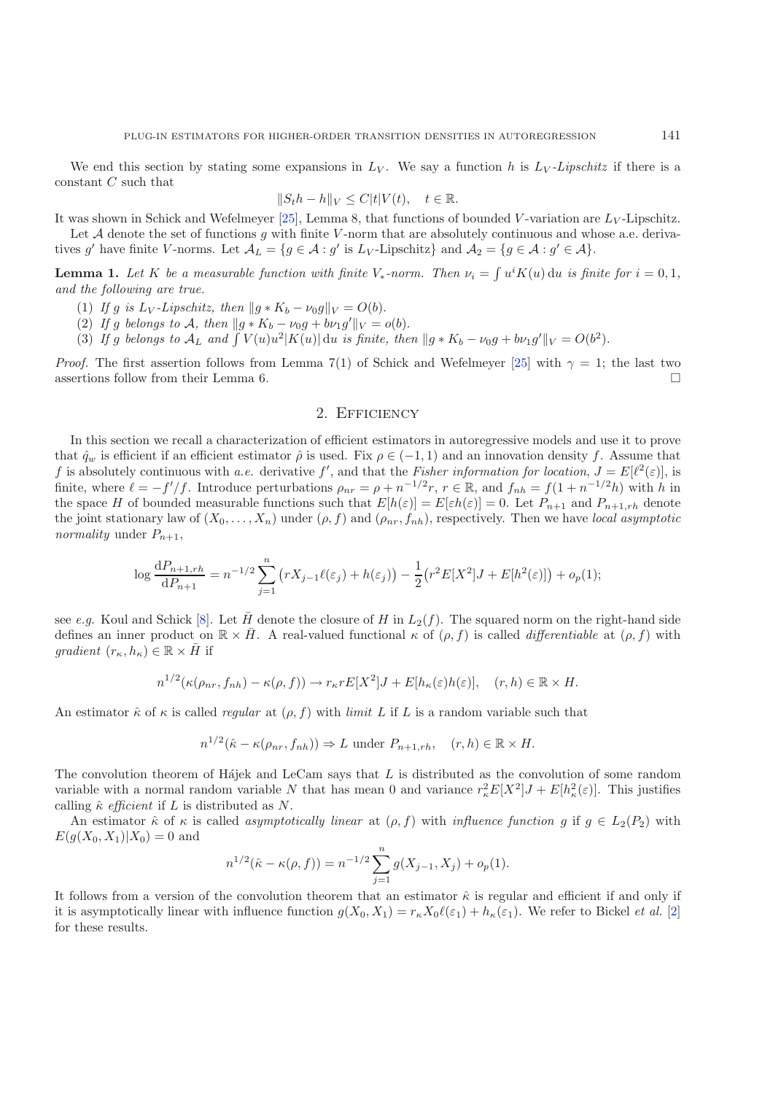We end this section by stating some expansions in  $L_V$ . We say a function h is  $L_V$ -Lipschitz if there is a constant C such that

$$
||S_t h - h||_V \le C|t|V(t), \quad t \in \mathbb{R}.
$$

It was shown in Schick and Wefelmeyer [\[25](#page-16-6)], Lemma 8, that functions of bounded V-variation are  $L_V$ -Lipschitz.<br>Let A denote the set of functions quite finite V-porm that are absolutely continuous and whose a e-deriva-

<span id="page-6-1"></span>Let  $A$  denote the set of functions  $g$  with finite V-norm that are absolutely continuous and whose a.e. derivatives g' have finite V-norms. Let  $\mathcal{A}_L = \{g \in \mathcal{A} : g' \text{ is } L_V\text{-Lipschitz}\}\$  and  $\mathcal{A}_2 = \{g \in \mathcal{A} : g' \in \mathcal{A}\}\$ .

**Lemma 1.** Let K be a measurable function with finite  $V_*$ -norm. Then  $\nu_i = \int u^i K(u) \, \mathrm{d}u$  is finite for  $i = 0, 1$ , and the following are true. *and the following are true.*

- (1) *If g is*  $L_V$ -*Lipschitz, then*  $||g * K_b \nu_0 g||_V = O(b)$ .
- (2) If g belongs to A, then  $||g * K_b v_0 g + b \nu_1 g'||_V = o(b)$ .<br>(3) If g belongs to A<sub>L</sub> and  $\int V(u)u^2|K(u)|du$  is finite the
- (3) If g belongs to  $A_L$  and  $\int V(u)u^2|K(u)| du$  is finite, then  $||g * K_b \nu_0 g + b\nu_1 g'||_V = O(b^2)$ .

<span id="page-6-0"></span>*Proof.* The first assertion follows from Lemma 7(1) of Schick and Wefelmeyer [\[25\]](#page-16-6) with  $\gamma = 1$ ; the last two assertions follow from their Lemma 6.  $\Box$ 

### 2. EFFICIENCY

In this section we recall a characterization of efficient estimators in autoregressive models and use it to prove that  $\hat{q}_w$  is efficient if an efficient estimator  $\hat{\rho}$  is used. Fix  $\rho \in (-1, 1)$  and an innovation density f. Assume that f is absolutely continuous with a.e. derivative f', and that the Fisher information for locat f is absolutely continuous with *a.e.* derivative f', and that the *Fisher information for location*,  $J = E[\ell^2(\varepsilon)]$ , is<br>finite where  $\ell = -f'/f$  Introduce perturbations  $\rho = \rho + n^{-1/2}r$ ,  $r \in \mathbb{R}$  and  $f = f(1 + n^{-1/2}h)$  wit finite, where  $\ell = -f'/f$ . Introduce perturbations  $\rho_{nr} = \rho + n^{-1/2}r$ ,  $r \in \mathbb{R}$ , and  $f_{nh} = f(1 + n^{-1/2}h)$  with h in the space H of bounded measurable functions such that  $E[h(\varepsilon)] - E[\varepsilon h(\varepsilon)] = 0$ . Let  $P_{n+1}$  and  $P_{n+1}$ the space H of bounded measurable functions such that  $E[h(\varepsilon)] = E[\varepsilon h(\varepsilon)] = 0$ . Let  $P_{n+1}$  and  $P_{n+1,rh}$  denote the joint stationary law of  $(X_0, \ldots, X_n)$  under  $(\rho, f)$  and  $(\rho_{nr}, f_{nh})$ , respectively. Then we have *local asymptotic normality* under  $P_{n+1}$ ,

$$
\log \frac{dP_{n+1,rh}}{dP_{n+1}} = n^{-1/2} \sum_{j=1}^n (rX_{j-1}\ell(\varepsilon_j) + h(\varepsilon_j)) - \frac{1}{2} (r^2 E[X^2]J + E[h^2(\varepsilon)]) + o_p(1);
$$

see *e.g.* Koul and Schick [\[8\]](#page-15-11). Let  $\bar{H}$  denote the closure of H in  $L_2(f)$ . The squared norm on the right-hand side defines an inner product on  $\mathbb{R} \times \overline{H}$ . A real-valued functional  $\kappa$  of  $(\rho, f)$  is called *differentiable* at  $(\rho, f)$  with *gradient*  $(r_{\kappa}, h_{\kappa}) \in \mathbb{R} \times \overline{H}$  if

$$
n^{1/2}(\kappa(\rho_{nr}, f_{nh}) - \kappa(\rho, f)) \to r_{\kappa} r E[X^2]J + E[h_{\kappa}(\varepsilon)h(\varepsilon)], \quad (r, h) \in \mathbb{R} \times H.
$$

An estimator  $\hat{\kappa}$  of  $\kappa$  is called *regular* at  $(\rho, f)$  with *limit* L if L is a random variable such that

$$
n^{1/2}(\hat{\kappa} - \kappa(\rho_{nr}, f_{nh})) \Rightarrow L \text{ under } P_{n+1, rh}, \quad (r, h) \in \mathbb{R} \times H.
$$

The convolution theorem of Hájek and LeCam says that  $L$  is distributed as the convolution of some random variable with a normal random variable N that has mean 0 and variance  $r_{\kappa}^2 E[X^2]J + E[h_{\kappa}^2(\varepsilon)]$ . This justifies<br>calling  $\hat{\kappa}$  efficient if L is distributed as N calling  $\hat{\kappa}$  *efficient* if L is distributed as N.

An estimator  $\hat{\kappa}$  of  $\kappa$  is called *asymptotically linear* at  $(\rho, f)$  with *influence function* g if  $g \in L_2(P_2)$  with  $E(g(X_0, X_1)|X_0) = 0$  and

$$
n^{1/2}(\hat{\kappa} - \kappa(\rho, f)) = n^{-1/2} \sum_{j=1}^{n} g(X_{j-1}, X_j) + o_p(1).
$$

It follows from a version of the convolution theorem that an estimator  $\hat{\kappa}$  is regular and efficient if and only if it is asymptotically linear with influence function  $g(X_0, X_1) = r_{\kappa} X_0 \ell(\varepsilon_1) + h_{\kappa}(\varepsilon_1)$ . We refer to Bickel *et al.* [\[2](#page-15-12)] for these results.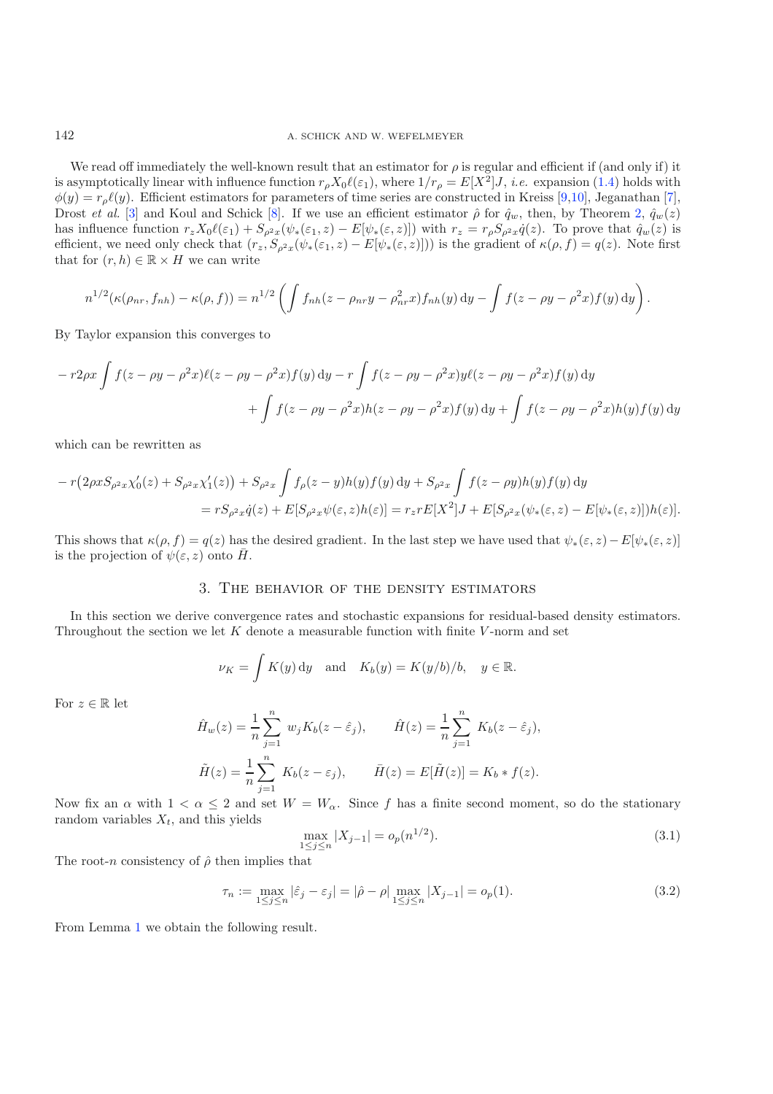We read off immediately the well-known result that an estimator for  $\rho$  is regular and efficient if (and only if) it is asymptotically linear with influence function  $r_\rho X_0 \ell(\varepsilon_1)$ , where  $1/r_\rho = E[X^2]J$ , *i.e.* expansion [\(1.4\)](#page-4-1) holds with  $\phi(y) = r_p \ell(y)$ . Efficient estimators for parameters of time series are constructed in Kreiss [\[9](#page-15-13)[,10\]](#page-15-14), Jeganathan [\[7\]](#page-15-15), Drost *et al.* [\[3](#page-15-16)] and Koul and Schick [\[8\]](#page-15-11). If we use an efficient estimator  $\hat{\rho}$  for  $\hat{q}_w$ , then, by Theorem [2,](#page-4-3)  $\hat{q}_w(z)$ has influence function  $r_z X_0 \ell(\varepsilon_1) + S_{\rho^2 x} (\psi_*(\varepsilon_1, z) - E[\psi_*(\varepsilon, z)])$  with  $r_z = r_{\rho} S_{\rho^2 x} \dot{q}(z)$ . To prove that  $\hat{q}_w(z)$  is efficient, we need only check that  $(r_z, S_{\rho^2 x}(\psi_*(\epsilon_1, z) - E[\psi_*(\epsilon, z)]))$  is the gradient of  $\kappa(\rho, f) = q(z)$ . Note first that for  $(r, h) \in \mathbb{R} \times H$  we can write

$$
n^{1/2}(\kappa(\rho_{nr},f_{nh})-\kappa(\rho,f))=n^{1/2}\left(\int f_{nh}(z-\rho_{nr}y-\rho_{nr}^2x)f_{nh}(y)\,dy-\int f(z-\rho y-\rho^2x)f(y)\,dy\right).
$$

By Taylor expansion this converges to

$$
-r2\rho x \int f(z - \rho y - \rho^2 x) \ell(z - \rho y - \rho^2 x) f(y) dy - r \int f(z - \rho y - \rho^2 x) y \ell(z - \rho y - \rho^2 x) f(y) dy
$$

$$
+ \int f(z - \rho y - \rho^2 x) h(z - \rho y - \rho^2 x) f(y) dy + \int f(z - \rho y - \rho^2 x) h(y) f(y) dy
$$

which can be rewritten as

$$
-r(2\rho xS_{\rho^2 x} \chi_0'(z) + S_{\rho^2 x} \chi_1'(z)) + S_{\rho^2 x} \int f_{\rho}(z - y)h(y)f(y) dy + S_{\rho^2 x} \int f(z - \rho y)h(y)f(y) dy
$$
  
=  $rS_{\rho^2 x} \dot{q}(z) + E[S_{\rho^2 x} \psi(\varepsilon, z)h(\varepsilon)] = r_z r E[X^2]J + E[S_{\rho^2 x}(\psi_*(\varepsilon, z) - E[\psi_*(\varepsilon, z)])h(\varepsilon)].$ 

<span id="page-7-0"></span>This shows that  $\kappa(\rho, f) = q(z)$  has the desired gradient. In the last step we have used that  $\psi_*(\varepsilon, z) - E[\psi_*(\varepsilon, z)]$ is the projection of  $\psi(\varepsilon, z)$  onto  $\overline{H}$ .

### 3. The behavior of the density estimators

In this section we derive convergence rates and stochastic expansions for residual-based density estimators. Throughout the section we let  $K$  denote a measurable function with finite  $V$ -norm and set

$$
\nu_K = \int K(y) dy
$$
 and  $K_b(y) = K(y/b)/b$ ,  $y \in \mathbb{R}$ .

For  $z \in \mathbb{R}$  let

<span id="page-7-2"></span>
$$
\hat{H}_w(z) = \frac{1}{n} \sum_{j=1}^n w_j K_b(z - \hat{\varepsilon}_j), \qquad \hat{H}(z) = \frac{1}{n} \sum_{j=1}^n K_b(z - \hat{\varepsilon}_j),
$$
  

$$
\tilde{H}(z) = \frac{1}{n} \sum_{j=1}^n K_b(z - \varepsilon_j), \qquad \bar{H}(z) = E[\tilde{H}(z)] = K_b * f(z).
$$

Now fix an  $\alpha$  with  $1 < \alpha \leq 2$  and set  $W = W_{\alpha}$ . Since f has a finite second moment, so do the stationary random variables X, and this vields random variables  $X_t$ , and this yields

$$
\max_{1 \le j \le n} |X_{j-1}| = o_p(n^{1/2}).\tag{3.1}
$$

The root-n consistency of  $\hat{\rho}$  then implies that

$$
\tau_n := \max_{1 \le j \le n} |\hat{\varepsilon}_j - \varepsilon_j| = |\hat{\rho} - \rho| \max_{1 \le j \le n} |X_{j-1}| = o_p(1). \tag{3.2}
$$

<span id="page-7-1"></span>From Lemma [1](#page-6-1) we obtain the following result.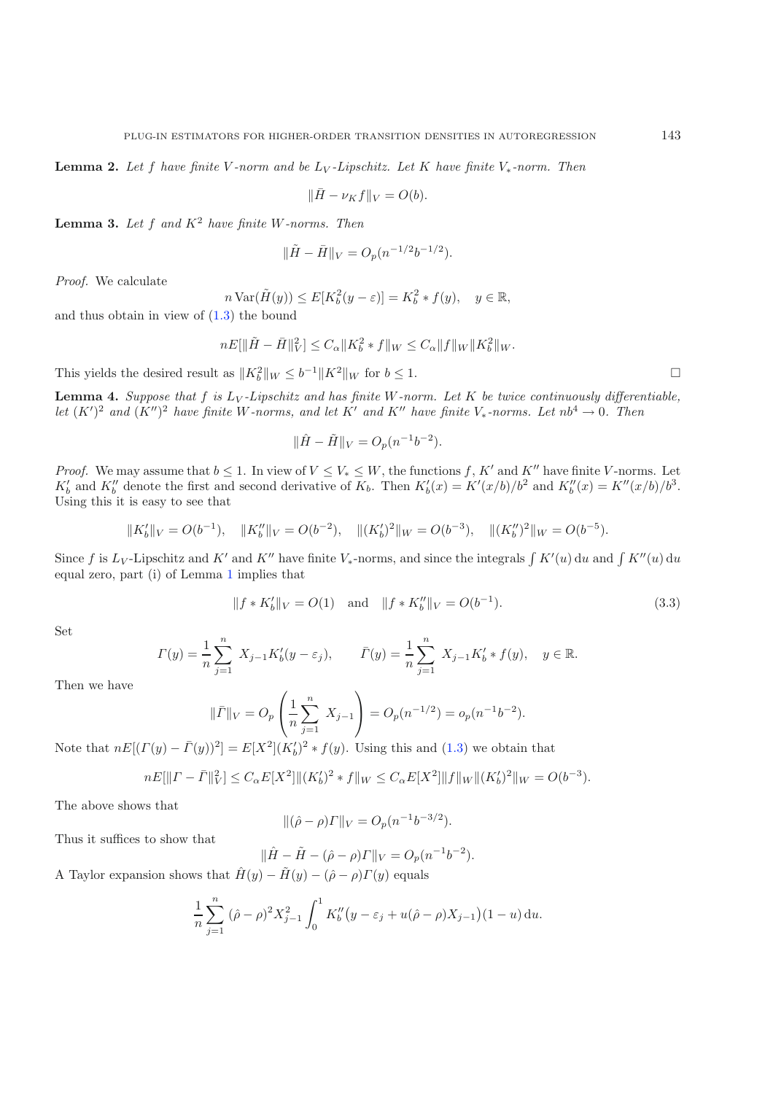**Lemma 2.** *Let* <sup>f</sup> *have finite* <sup>V</sup> *-norm and be* <sup>L</sup><sup>V</sup> *-Lipschitz. Let* <sup>K</sup> *have finite* <sup>V</sup><sup>∗</sup>*-norm. Then*

 $\|\bar{H} - \nu_K f\|_V = O(b).$ 

**Lemma 3.** *Let* <sup>f</sup> *and* <sup>K</sup><sup>2</sup> *have finite* W*-norms. Then*

$$
\|\tilde{H} - \bar{H}\|_{V} = O_p(n^{-1/2}b^{-1/2}).
$$

*Proof.* We calculate

$$
n \operatorname{Var}(\tilde{H}(y)) \le E[K_b^2(y - \varepsilon)] = K_b^2 * f(y), \quad y \in \mathbb{R},
$$

 $n \text{Var}(\tilde{H}(y)) \leq E[K_b^2]$ <br>and thus obtain in view of [\(1.3\)](#page-4-4) the bound

$$
nE[\|\tilde{H} - \bar{H}\|_{V}^{2}] \leq C_{\alpha} \|K_{b}^{2} * f\|_{W} \leq C_{\alpha} \|f\|_{W} \|K_{b}^{2}\|_{W}.
$$

<span id="page-8-0"></span>This yields the desired result as  $||K_b^2||_W \le b^{-1}||K^2||_W$  for  $b \le 1$ .

<span id="page-8-1"></span>**Lemma 4.** Suppose that  $f$  is  $L_V$ -Lipschitz and has finite  $W$ -norm. Let  $K$  be twice continuously differentiable, *let*  $(K')^2$  *and*  $(K'')^2$  *have finite* W-norms, and let K' *and* K'' *have finite* V<sub>\*</sub>-norms. Let  $nb^4 \rightarrow 0$ . Then

$$
\|\hat{H} - \tilde{H}\|_{V} = O_p(n^{-1}b^{-2}).
$$

*Proof.* We may assume that  $b \leq 1$ . In view of  $V \leq V_* \leq W$ , the functions f, K' and K'' have finite V-norms. Let  $K'_b$  and  $K''_b$  denote the first and second derivative of  $K_b$ . Then  $K'_b(x) = K'(x/b)/b^2$  and  $K''_b(x) = K''(x/b)/b^3$ .<br>Using this it is easy to see that Using this it is easy to see that

$$
||K_b'||_V = O(b^{-1}), \quad ||K_b''||_V = O(b^{-2}), \quad ||(K_b')^2||_W = O(b^{-3}), \quad ||(K_b'')^2||_W = O(b^{-5}).
$$

Since f is  $L_V$ -Lipschitz and K' and K'' have finite  $V_*$ -norms, and since the integrals  $\int K'(u) du$  and  $\int K''(u) du$ equal zero, part (i) of Lemma [1](#page-6-1) implies that

$$
||f * K_b'||_V = O(1) \text{ and } ||f * K_b''||_V = O(b^{-1}).
$$
\n(3.3)

Set

$$
\Gamma(y) = \frac{1}{n} \sum_{j=1}^{n} X_{j-1} K'_b(y - \varepsilon_j), \qquad \bar{\Gamma}(y) = \frac{1}{n} \sum_{j=1}^{n} X_{j-1} K'_b * f(y), \quad y \in \mathbb{R}.
$$

Then we have

$$
\|\bar{\Gamma}\|_{V} = O_p\left(\frac{1}{n}\sum_{j=1}^{n} X_{j-1}\right) = O_p(n^{-1/2}) = o_p(n^{-1}b^{-2}).
$$

Note that  $nE[(\Gamma(y) - \overline{\Gamma}(y))^2] = E[X^2](K_b')^2 * f(y)$ . Using this and [\(1.3\)](#page-4-4) we obtain that

$$
nE[\|T - \bar{T}\|_V^2] \le C_\alpha E[X^2] \|(K_b')^2 * f\|_W \le C_\alpha E[X^2] \|f\|_W \|(K_b')^2\|_W = O(b^{-3}).
$$

The above shows that

$$
\|(\hat{\rho} - \rho)\Gamma\|_V = O_p(n^{-1}b^{-3/2}).
$$

Thus it suffices to show that

$$
\|\hat{H} - \tilde{H} - (\hat{\rho} - \rho)\Gamma\|_V = O_p(n^{-1}b^{-2}).
$$

A Taylor expansion shows that  $\hat{H}(y) - \tilde{H}(y) - (\hat{\rho} - \rho)\Gamma(y)$  equals

$$
\frac{1}{n}\sum_{j=1}^{n} (\hat{\rho} - \rho)^2 X_{j-1}^2 \int_0^1 K_b''(y - \varepsilon_j + u(\hat{\rho} - \rho)X_{j-1})(1 - u) du.
$$

 $\Box$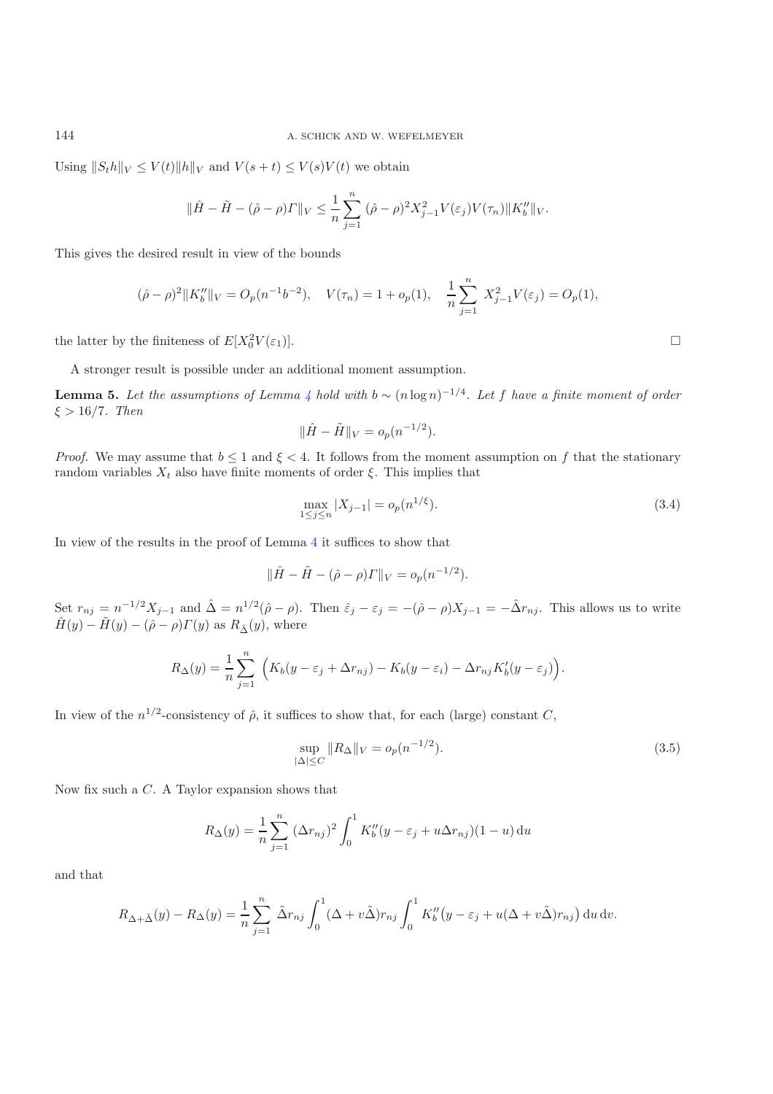Using  $||S_t h||_V \le V(t) ||h||_V$  and  $V(s+t) \le V(s)V(t)$  we obtain

$$
\|\hat{H} - \tilde{H} - (\hat{\rho} - \rho) \|\|_{V} \leq \frac{1}{n} \sum_{j=1}^{n} (\hat{\rho} - \rho)^2 X_{j-1}^2 V(\varepsilon_j) V(\tau_n) \|K_b''\|_{V}.
$$

This gives the desired result in view of the bounds

$$
(\hat{\rho} - \rho)^2 \|K_b''\|_V = O_p(n^{-1}b^{-2}), \quad V(\tau_n) = 1 + o_p(1), \quad \frac{1}{n} \sum_{j=1}^n X_{j-1}^2 V(\varepsilon_j) = O_p(1),
$$

the latter by the finiteness of  $E[X_0^2 V(\varepsilon_1)].$  $\frac{2}{0}V(\varepsilon_1).$ 

A stronger result is possible under an additional moment assumption.

**Lemma 5.** Let the assumptions of Lemma  $4$  hold with  $b \sim (n \log n)^{-1/4}$ . Let f have a finite moment of order  $\xi > 16/7$ *. Then* 

$$
\|\hat{H} - \tilde{H}\|_V = o_p(n^{-1/2}).
$$

*Proof.* We may assume that  $b \leq 1$  and  $\xi < 4$ . It follows from the moment assumption on f that the stationary random variables  $X_t$  also have finite moments of order  $\xi$ . This implies that

$$
\max_{1 \le j \le n} |X_{j-1}| = o_p(n^{1/\xi}).\tag{3.4}
$$

In view of the results in the proof of Lemma [4](#page-8-0) it suffices to show that

<span id="page-9-0"></span>
$$
\|\hat{H} - \tilde{H} - (\hat{\rho} - \rho)\Gamma\|_V = o_p(n^{-1/2}).
$$

Set  $r_{nj} = n^{-1/2}X_{j-1}$  and  $\hat{\Delta} = n^{1/2}(\hat{\rho} - \rho)$ . Then  $\hat{\varepsilon}_j - \varepsilon_j = -(\hat{\rho} - \rho)X_{j-1} = -\hat{\Delta}r_{nj}$ . This allows us to write  $\hat{H}(y) - \tilde{H}(y) - (\hat{\rho} - \rho) \Gamma(y)$  as  $R_{\hat{\Delta}}(y)$ , where

$$
R_{\Delta}(y) = \frac{1}{n} \sum_{j=1}^{n} \left( K_b(y - \varepsilon_j + \Delta r_{nj}) - K_b(y - \varepsilon_i) - \Delta r_{nj} K_b'(y - \varepsilon_j) \right).
$$

In view of the  $n^{1/2}$ -consistency of  $\hat{\rho}$ , it suffices to show that, for each (large) constant C,

$$
\sup_{|\Delta| \le C} \|R_{\Delta}\|_{V} = o_p(n^{-1/2}).
$$
\n(3.5)

Now fix such a C. A Taylor expansion shows that

$$
R_{\Delta}(y) = \frac{1}{n} \sum_{j=1}^{n} (\Delta r_{nj})^{2} \int_{0}^{1} K_{b}''(y - \varepsilon_{j} + u \Delta r_{nj})(1 - u) du
$$

and that

$$
R_{\Delta+\tilde{\Delta}}(y) - R_{\Delta}(y) = \frac{1}{n} \sum_{j=1}^{n} \tilde{\Delta}r_{nj} \int_{0}^{1} (\Delta + v\tilde{\Delta})r_{nj} \int_{0}^{1} K_{b}''(y - \varepsilon_{j} + u(\Delta + v\tilde{\Delta})r_{nj}) \, du \, dv.
$$

 $\Box$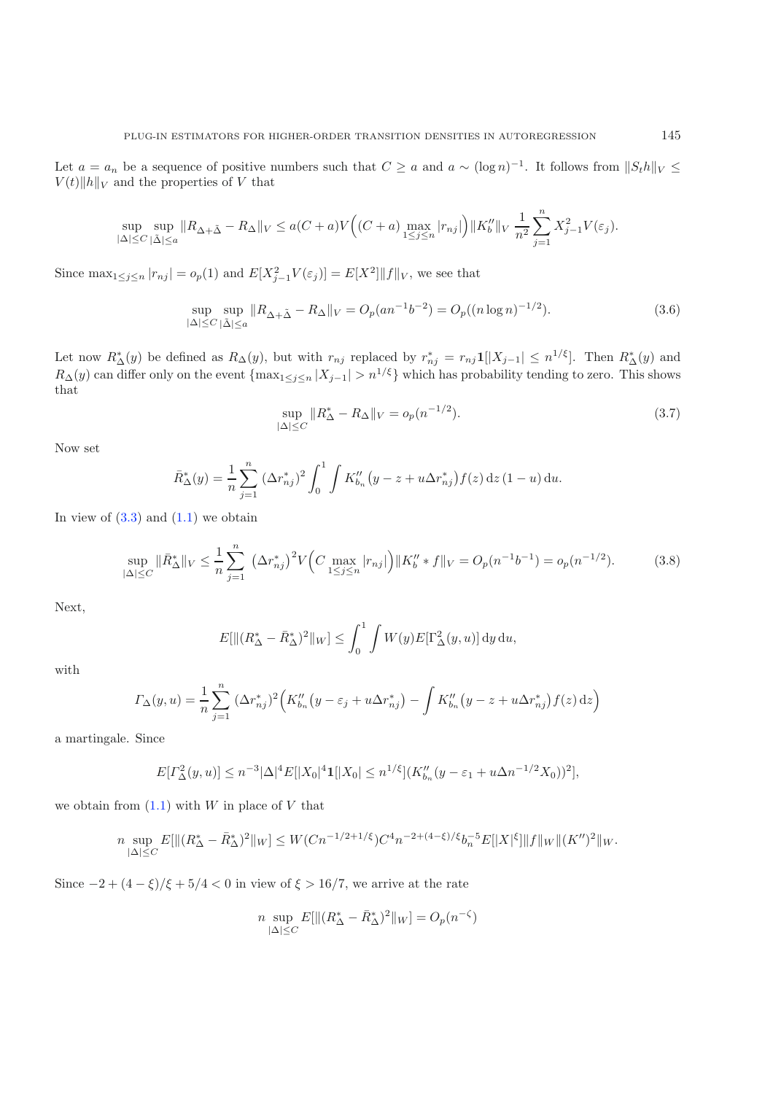<span id="page-10-0"></span>Let  $a = a_n$  be a sequence of positive numbers such that  $C \ge a$  and  $a \sim (\log n)^{-1}$ . It follows from  $||S_t h||_V \le$  $V(t)$ ||h||<sub>V</sub> and the properties of V that

$$
\sup_{|\Delta| \le C} \sup_{|\tilde{\Delta}| \le a} \|R_{\Delta + \tilde{\Delta}} - R_{\Delta}\|_V \le a(C+a)V\Big((C+a) \max_{1 \le j \le n} |r_{nj}|\Big) \|K_b''\|_V \frac{1}{n^2} \sum_{j=1}^n X_{j-1}^2 V(\varepsilon_j).
$$

Since  $\max_{1 \leq j \leq n} |r_{nj}| = o_p(1)$  and  $E[X_{j-1}^2 V(\varepsilon_j)] = E[X^2] ||f||_V$ , we see that

$$
\sup_{|\Delta| \le C} \sup_{|\tilde{\Delta}| \le a} \|R_{\Delta + \tilde{\Delta}} - R_{\Delta}\|_{V} = O_p(an^{-1}b^{-2}) = O_p((n \log n)^{-1/2}).
$$
\n(3.6)

Let now  $R^*_{\Delta}(y)$  be defined as  $R_{\Delta}(y)$ , but with  $r_{nj}$  replaced by  $r^*_{nj} = r_{nj} \mathbf{1} |[X_{j-1}] \leq n^{1/\xi}]$ . Then  $R^*_{\Delta}(y)$  and  $R^*_{\Delta}(y)$  and  $R^*_{\Delta}(y)$  and  $R^*_{\Delta}(y)$  and  $R^*_{\Delta}(y)$  and  $R^*_{\Delta}(y)$  and  $R^*_{\Delta}(y$  $R_{\Delta}(y)$  can differ only on the event  $\{\max_{1\leq j\leq n}|X_{j-1}|>n^{1/\xi}\}$  which has probability tending to zero. This shows that

$$
\sup_{|\Delta| \le C} \|R^*_{\Delta} - R_{\Delta}\|_V = o_p(n^{-1/2}).\tag{3.7}
$$

Now set

$$
\bar{R}_{\Delta}^*(y) = \frac{1}{n} \sum_{j=1}^n (\Delta r_{nj}^*)^2 \int_0^1 \int K_{b_n}''(y - z + u \Delta r_{nj}^*) f(z) dz (1 - u) du.
$$

In view of  $(3.3)$  and  $(1.1)$  we obtain

$$
\sup_{|\Delta| \le C} \|\bar{R}_{\Delta}^*\|_V \le \frac{1}{n} \sum_{j=1}^n (\Delta r_{nj}^*)^2 V\Big(C \max_{1 \le j \le n} |r_{nj}|\Big) \|K_b'' \ast f\|_V = O_p(n^{-1}b^{-1}) = o_p(n^{-1/2}).\tag{3.8}
$$

Next,

$$
E[\|(R^*_{\Delta} - \bar{R}^*_{\Delta})^2\|_W] \le \int_0^1 \int W(y) E[\Gamma^2_{\Delta}(y, u)] \, dy \, du,
$$

with

$$
\Gamma_{\Delta}(y, u) = \frac{1}{n} \sum_{j=1}^{n} (\Delta r_{nj}^{*})^{2} \Big( K_{b_{n}}''(y - \varepsilon_{j} + u \Delta r_{nj}^{*}) - \int K_{b_{n}}''(y - z + u \Delta r_{nj}^{*}) f(z) dz \Big)
$$

a martingale. Since

$$
E[\Gamma_{\Delta}^2(y,u)] \le n^{-3} |\Delta|^4 E[|X_0|^4 \mathbf{1}[|X_0| \le n^{1/\xi}] (K_{b_n}''(y - \varepsilon_1 + u\Delta n^{-1/2}X_0))^2],
$$

we obtain from  $(1.1)$  with W in place of V that

$$
n \sup_{|\Delta| \leq C} E[\|(R^*_{\Delta} - \bar{R}^*_{\Delta})^2\|_W] \leq W(Cn^{-1/2+1/\xi})C^4 n^{-2 + (4-\xi)/\xi} b_n^{-5} E[\|X|^{\xi}]\|f\|_W \|(K'')^2\|_W.
$$

Since  $-2 + (4 - \xi)/\xi + 5/4 < 0$  in view of  $\xi > 16/7$ , we arrive at the rate

$$
n \sup_{|\Delta| \le C} E[||(R^*_{\Delta} - \bar{R}^*_{\Delta})^2||_W] = O_p(n^{-\zeta})
$$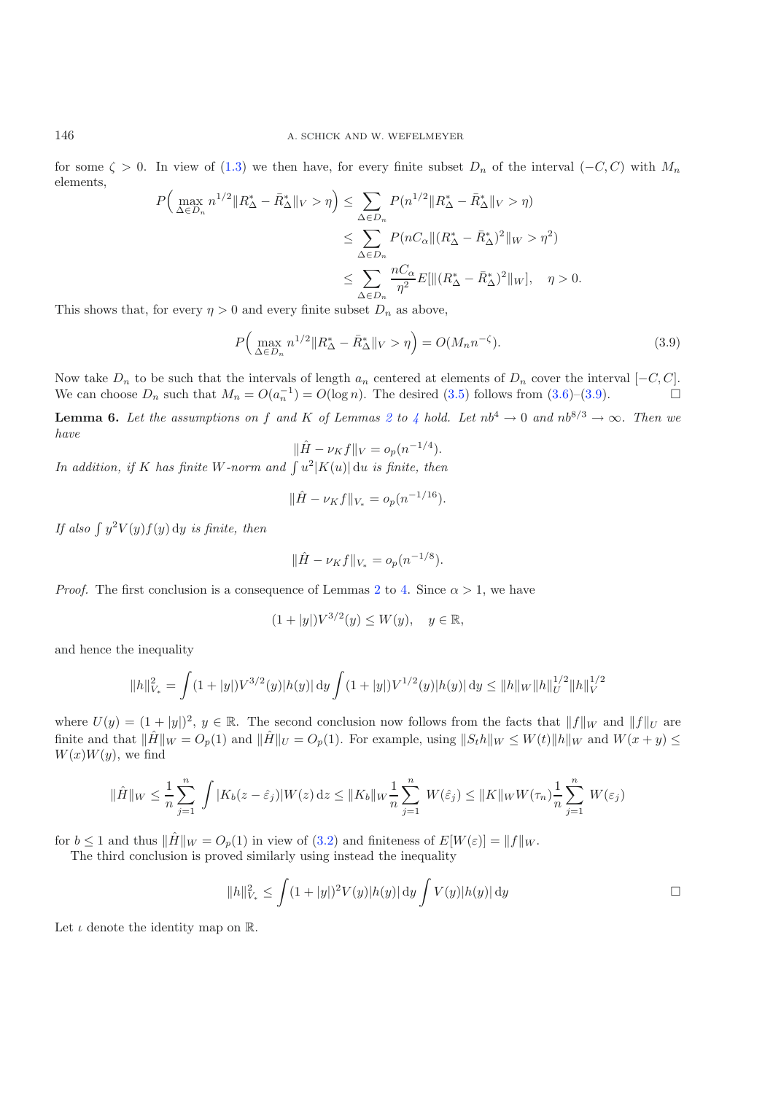for some  $\zeta > 0$ . In view of [\(1.3\)](#page-4-4) we then have, for every finite subset  $D_n$  of the interval  $(-C, C)$  with  $M_n$ elements,

<span id="page-11-0"></span>
$$
P\Big(\max_{\Delta \in D_n} n^{1/2} \|R^*_{\Delta} - \bar{R}^*_{\Delta}\|_V > \eta \Big) \le \sum_{\Delta \in D_n} P(n^{1/2} \|R^*_{\Delta} - \bar{R}^*_{\Delta}\|_V > \eta)
$$
  

$$
\le \sum_{\Delta \in D_n} P(nC_{\alpha} \| (R^*_{\Delta} - \bar{R}^*_{\Delta})^2 \|_W > \eta^2)
$$
  

$$
\le \sum_{\Delta \in D_n} \frac{nC_{\alpha}}{\eta^2} E[\| (R^*_{\Delta} - \bar{R}^*_{\Delta})^2 \|_W], \quad \eta > 0.
$$

This shows that, for every  $\eta > 0$  and every finite subset  $D_n$  as above,

$$
P\Big(\max_{\Delta \in D_n} n^{1/2} \|R^*_{\Delta} - \bar{R}^*_{\Delta}\|_V > \eta\Big) = O(M_n n^{-\zeta}).\tag{3.9}
$$

Now take  $D_n$  to be such that the intervals of length  $a_n$  centered at elements of  $D_n$  cover the interval  $[-C, C]$ . We can choose  $D_n$  such that  $M_n = O(a_n^{-1}) = O(\log n)$ . The desired [\(3.5\)](#page-9-0) follows from [\(3.6\)](#page-10-0)–[\(3.9\)](#page-11-0).

<span id="page-11-1"></span>**Lemma 6.** Let the assumptions on f and K of Lemmas [2](#page-7-1) to [4](#page-8-0) hold. Let  $nb^4 \rightarrow 0$  and  $nb^{8/3} \rightarrow \infty$ . Then we *have*

$$
\|\hat{H} - \nu_K f\|_V = o_p(n^{-1/4}).
$$

*In addition, if* K has finite W-norm and  $\int u^2|K(u)| du$  is finite, then

$$
\|\hat{H} - \nu_K f\|_{V_*} = o_p(n^{-1/16}).
$$

If also  $\int y^2 V(y) f(y) dy$  *is finite, then* 

$$
\|\hat{H} - \nu_K f\|_{V_*} = o_p(n^{-1/8}).
$$

*Proof.* The first conclusion is a consequence of Lemmas [2](#page-7-1) to [4.](#page-8-0) Since  $\alpha > 1$ , we have

$$
(1+|y|)V^{3/2}(y) \le W(y), \quad y \in \mathbb{R},
$$

and hence the inequality

$$
||h||_{V_*}^2 = \int (1+|y|)V^{3/2}(y)|h(y)| \, dy \int (1+|y|)V^{1/2}(y)|h(y)| \, dy \le ||h||_W ||h||_U^{1/2} ||h||_V^{1/2}
$$

where  $U(y) = (1 + |y|)^2$ ,  $y \in \mathbb{R}$ . The second conclusion now follows from the facts that  $||f||_W$  and  $||f||_U$  are finite and that  $\|\hat{H}\|_{W} = O_p(1)$  and  $\|\hat{H}\|_{U} = O_p(1)$ . For example, using  $||S_t h||_W \leq W(t) ||h||_W$  and  $W(x + y) \leq$  $W(x)W(y)$ , we find

$$
\|\hat{H}\|_{W} \leq \frac{1}{n} \sum_{j=1}^{n} \int |K_b(z - \hat{\varepsilon}_j)| W(z) \, dz \leq \|K_b\|_{W} \frac{1}{n} \sum_{j=1}^{n} W(\hat{\varepsilon}_j) \leq \|K\|_{W} W(\tau_n) \frac{1}{n} \sum_{j=1}^{n} W(\varepsilon_j)
$$

for  $b \leq 1$  and thus  $\|\hat{H}\|_{W} = O_p(1)$  in view of  $(3.2)$  and finiteness of  $E[W(\varepsilon)] = ||f||_{W}$ .

The third conclusion is proved similarly using instead the inequality

$$
||h||_{V_*}^2 \le \int (1+|y|)^2 V(y) |h(y)| \, dy \int V(y) |h(y)| \, dy \qquad \Box
$$

Let  $\iota$  denote the identity map on  $\mathbb{R}$ .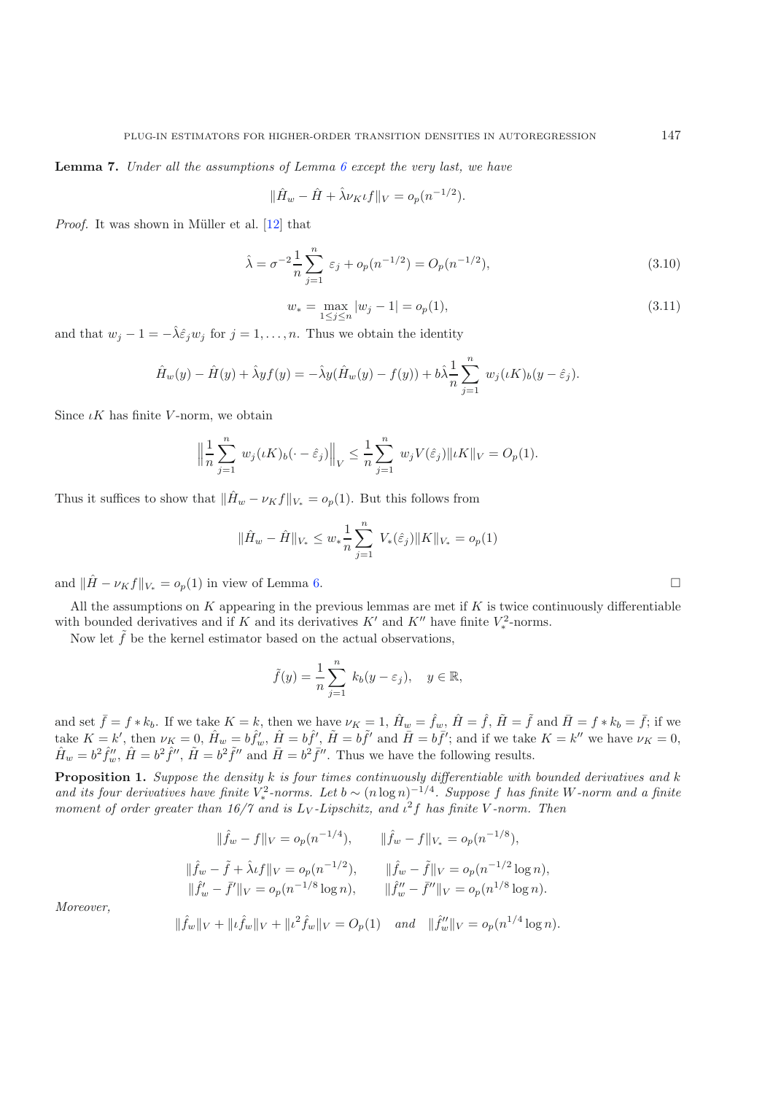<span id="page-12-0"></span>**Lemma 7.** *Under all the assumptions of Lemma [6](#page-11-1) except the very last, we have*

$$
\|\hat{H}_w - \hat{H} + \hat{\lambda}\nu_K t f\|_V = o_p(n^{-1/2}).
$$

*Proof.* It was shown in Müller et al. [\[12](#page-15-17)] that

$$
\hat{\lambda} = \sigma^{-2} \frac{1}{n} \sum_{j=1}^{n} \varepsilon_j + o_p(n^{-1/2}) = O_p(n^{-1/2}),
$$
\n(3.10)

$$
w_* = \max_{1 \le j \le n} |w_j - 1| = o_p(1),\tag{3.11}
$$

and that  $w_j - 1 = -\hat{\lambda} \hat{\epsilon}_j w_j$  for  $j = 1, \ldots, n$ . Thus we obtain the identity

$$
\hat{H}_w(y) - \hat{H}(y) + \hat{\lambda} y f(y) = -\hat{\lambda} y (\hat{H}_w(y) - f(y)) + b \hat{\lambda} \frac{1}{n} \sum_{j=1}^n w_j (\iota K)_b (y - \hat{\varepsilon}_j).
$$

Since  $\iota K$  has finite V-norm, we obtain

$$
\left\| \frac{1}{n} \sum_{j=1}^n w_j(\iota K)_b(\cdot - \hat{\varepsilon}_j) \right\|_V \leq \frac{1}{n} \sum_{j=1}^n w_j V(\hat{\varepsilon}_j) \| \iota K \|_V = O_p(1).
$$

Thus it suffices to show that  $\|\hat{H}_w - \nu_K f\|_{V_*} = o_p(1)$ . But this follows from

$$
\|\hat{H}_w - \hat{H}\|_{V_*} \leq w_* \frac{1}{n} \sum_{j=1}^n V_* (\hat{\varepsilon}_j) \|K\|_{V_*} = o_p(1)
$$

and  $\|\hat{H} - \nu_K f\|_{V_*} = o_p(1)$  in view of Lemma [6.](#page-11-1)

All the assumptions on  $K$  appearing in the previous lemmas are met if  $K$  is twice continuously differentiable with bounded derivatives and if K and its derivatives K' and K'' have finite  $V_*^2$ -norms.<br>Now let  $\tilde{f}$  be the level estimator based on the actual ebservations.

Now let  $\tilde{f}$  be the kernel estimator based on the actual observations,

$$
\tilde{f}(y) = \frac{1}{n} \sum_{j=1}^{n} k_b(y - \varepsilon_j), \quad y \in \mathbb{R},
$$

and set  $\bar{f} = f * k_b$ . If we take  $K = k$ , then we have  $\nu_K = 1$ ,  $\hat{H}_w = \hat{f}_w$ ,  $\hat{H} = \hat{f}$ ,  $\tilde{H} = \tilde{f}$  and  $\bar{H} = f * k_b = \bar{f}$ ; if we take  $K = k'$  then  $\nu_k = 0$ ,  $\hat{H} = k\hat{f}'$ ,  $\hat{H} = k\hat{f}'$  and  $\tilde{H} = k\hat{f}'$  an take  $K = k'$ , then  $\nu_K = 0$ ,  $\hat{H}_w = b \hat{f}'_w$ ,  $\hat{H} = b \hat{f}'$ ,  $\tilde{H} = b \tilde{f}'$ ; and  $\bar{H} = b \bar{f}'$ ; and if we take  $K = k''$  we have  $\nu_K = 0$ ,  $\hat{H} = k^2 \hat{f}''$ ,  $\hat{H} = k^2 \hat{f}''$ ,  $\hat{H} = k^2 \hat{f}''$ ,  $\hat{H} = k^2 \hat{f}''$ ,  $\hat{$  $\hat{H}_w = b^2 \hat{f}''_w$ ,  $\hat{H} = b^2 \hat{f}''$ ,  $\tilde{H} = b^2 \tilde{f}''$  and  $\bar{H} = b^2 \bar{f}''$ . Thus we have the following results.

<span id="page-12-1"></span>**Proposition 1.** *Suppose the density* k *is four times continuously differentiable with bounded derivatives and* k and its four derivatives have finite  $V_*^2$ -norms. Let  $b \sim (n \log n)^{-1/4}$ . Suppose f has finite W-norm and a finite<br>moment of order greater than 16/7 and is Ly-Linschitz, and  $r^2$ t has finite V-norm. Then *moment of order greater than*  $16/7$  *and is*  $L_V$ -*Lipschitz, and*  $\iota^2 f$  *has finite* V-norm. Then

$$
\|\hat{f}_w - f\|_V = o_p(n^{-1/4}), \qquad \|\hat{f}_w - f\|_{V_*} = o_p(n^{-1/8}),
$$
  

$$
\|\hat{f}_w - \tilde{f} + \lambda \iota f\|_V = o_p(n^{-1/2}), \qquad \|\hat{f}_w - \tilde{f}\|_V = o_p(n^{-1/2}\log n),
$$
  

$$
\|\hat{f}_w' - \tilde{f}'\|_V = o_p(n^{-1/8}\log n), \qquad \|\hat{f}_w'' - \tilde{f}''\|_V = o_p(n^{1/8}\log n).
$$
  

$$
\|\hat{f}_w\|_V + \|\iota \hat{f}_w\|_V + \|\iota^2 \hat{f}_w\|_V = O_p(1) \quad \text{and} \quad \|\hat{f}_w''\|_V = o_p(n^{1/4}\log n).
$$

*Moreover,*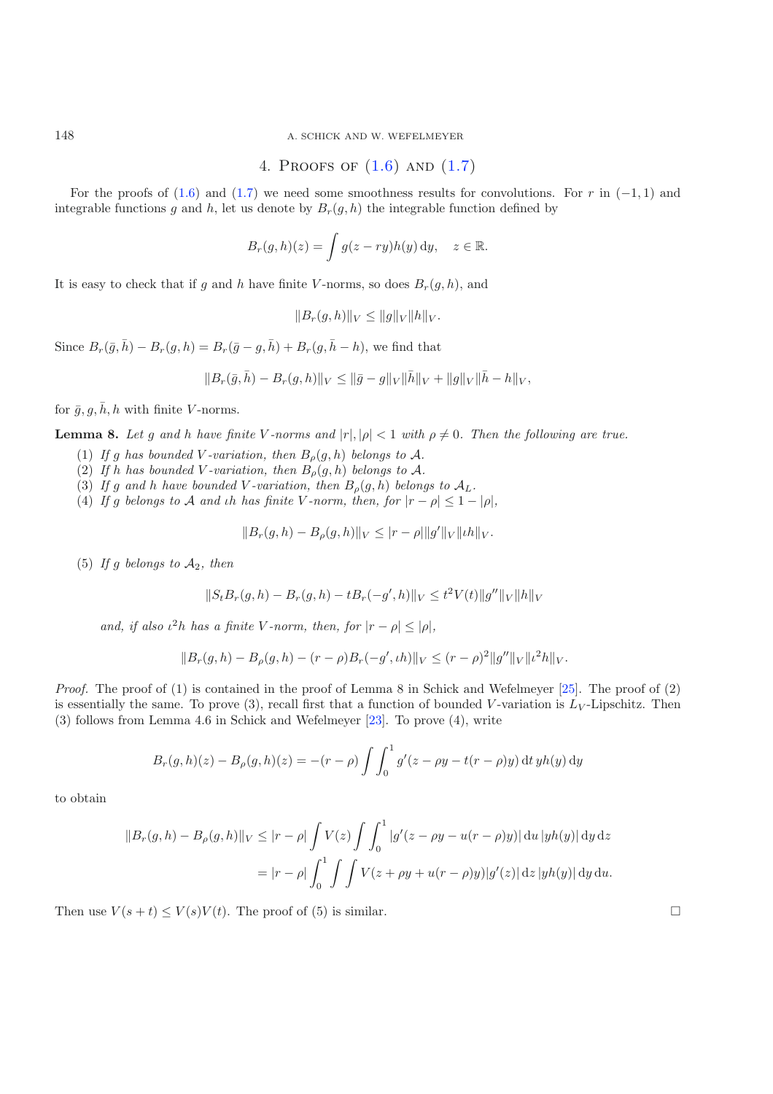<span id="page-13-0"></span>148 A. SCHICK AND W. WEFELMEYER

4. PROOFS OF 
$$
(1.6)
$$
 AND  $(1.7)$ 

For the proofs of [\(1.6\)](#page-4-0) and [\(1.7\)](#page-4-0) we need some smoothness results for convolutions. For r in  $(-1,1)$  and integrable functions g and h, let us denote by  $B_r(g, h)$  the integrable function defined by

$$
B_r(g,h)(z) = \int g(z - ry)h(y) \,dy, \quad z \in \mathbb{R}.
$$

It is easy to check that if q and h have finite V-norms, so does  $B_r(q, h)$ , and

$$
||B_r(g,h)||_V \le ||g||_V ||h||_V.
$$

Since  $B_r(\bar{g}, \bar{h}) - B_r(g, h) = B_r(\bar{g} - g, \bar{h}) + B_r(g, \bar{h} - h)$ , we find that

$$
||B_r(\bar{g}, \bar{h}) - B_r(g, h)||_V \le ||\bar{g} - g||_V ||\bar{h}||_V + ||g||_V ||\bar{h} - h||_V,
$$

<span id="page-13-1"></span>for  $\bar{g}, g, \bar{h}, h$  with finite V-norms.

**Lemma 8.** Let g and h have finite V-norms and  $|r|, |\rho| < 1$  with  $\rho \neq 0$ . Then the following are true.

- (1) If g has bounded V-variation, then  $B_{\rho}(g, h)$  belongs to A.
- (2) If h has bounded V-variation, then  $B_{\rho}(g, h)$  belongs to A.
- (3) If g and h have bounded V-variation, then  $B_{\rho}(g, h)$  belongs to  $A_L$ .
- (4) *If* g *belongs to* A *and th has finite* V-norm, *then, for*  $|r \rho| \leq 1 |\rho|$ *,*

$$
||B_r(g, h) - B_\rho(g, h)||_V \leq |r - \rho| ||g'||_V ||\iota h||_V.
$$

(5) If g belongs to  $A_2$ , then

$$
||S_t B_r(g, h) - B_r(g, h) - t B_r(-g', h)||_V \le t^2 V(t) ||g''||_V ||h||_V
$$

*and, if also*  $\iota^2 h$  *has a finite V -norm, then, for*  $|r - \rho| \leq |\rho|$ *,* 

$$
||B_r(g,h) - B_\rho(g,h) - (r-\rho)B_r(-g',\iota h)||_V \le (r-\rho)^2 ||g''||_V ||\iota^2 h||_V.
$$

*Proof.* The proof of (1) is contained in the proof of Lemma 8 in Schick and Wefelmeyer [\[25\]](#page-16-6). The proof of (2) is essentially the same. To prove  $(3)$ , recall first that a function of bounded V-variation is  $L_V$ -Lipschitz. Then (3) follows from Lemma 4.6 in Schick and Wefelmeyer [\[23\]](#page-16-7). To prove (4), write

$$
B_r(g, h)(z) - B_\rho(g, h)(z) = -(r - \rho) \int \int_0^1 g'(z - \rho y - t(r - \rho)y) dt y h(y) dy
$$

to obtain

$$
||B_r(g, h) - B_\rho(g, h)||_V \le |r - \rho| \int V(z) \int \int_0^1 |g'(z - \rho y - u(r - \rho)y)| du |yh(y)| dy dz
$$
  
=  $|r - \rho| \int_0^1 \int \int V(z + \rho y + u(r - \rho)y) |g'(z)| dz |yh(y)| dy du.$ 

Then use  $V(s + t) \le V(s)V(t)$ . The proof of (5) is similar.  $\square$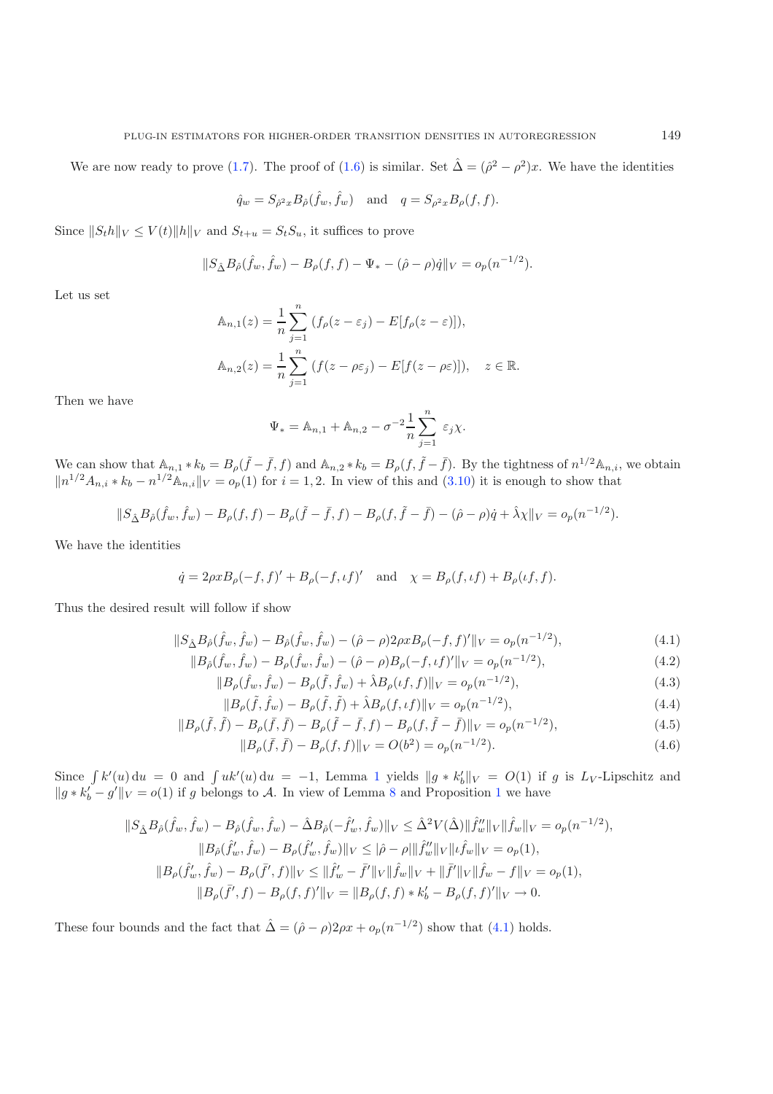We are now ready to prove [\(1.7\)](#page-4-0). The proof of [\(1.6\)](#page-4-0) is similar. Set  $\hat{\Delta} = (\hat{\rho}^2 - \rho^2)x$ . We have the identities

$$
\hat{q}_w = S_{\hat{\rho}^2 x} B_{\hat{\rho}}(\hat{f}_w, \hat{f}_w)
$$
 and  $q = S_{\rho^2 x} B_{\rho}(f, f)$ .

Since  $||S_t h||_V \le V(t) ||h||_V$  and  $S_{t+u} = S_t S_u$ , it suffices to prove

$$
||S_{\hat{\Delta}}B_{\hat{\rho}}(\hat{f}_w,\hat{f}_w) - B_{\rho}(f,f) - \Psi_* - (\hat{\rho} - \rho)\hat{q}||_V = o_p(n^{-1/2}).
$$

Let us set

$$
\mathbb{A}_{n,1}(z) = \frac{1}{n} \sum_{j=1}^{n} (f_{\rho}(z - \varepsilon_j) - E[f_{\rho}(z - \varepsilon)]),
$$
  

$$
\mathbb{A}_{n,2}(z) = \frac{1}{n} \sum_{j=1}^{n} (f(z - \rho \varepsilon_j) - E[f(z - \rho \varepsilon)]), \quad z \in \mathbb{R}.
$$

Then we have

$$
\Psi_* = \mathbb{A}_{n,1} + \mathbb{A}_{n,2} - \sigma^{-2} \frac{1}{n} \sum_{j=1}^n \varepsilon_j \chi.
$$

We can show that  $A_{n,1} * k_b = B_\rho(\tilde{f} - \bar{f}, f)$  and  $A_{n,2} * k_b = B_\rho(f, \tilde{f} - \bar{f})$ . By the tightness of  $n^{1/2}A_{n,i}$ , we obtain  $||n^{1/2}A_{n,i} * k_b - n^{1/2}A_{n,i}||_V = o_p(1)$  for  $i = 1, 2$ . In view of this and [\(3.10\)](#page-12-0) it is enough to show that

$$
||S_{\hat{\Delta}}B_{\hat{\rho}}(\hat{f}_w,\hat{f}_w) - B_{\rho}(f,f) - B_{\rho}(\tilde{f} - \bar{f},f) - B_{\rho}(f,\tilde{f} - \bar{f}) - (\hat{\rho} - \rho)\dot{q} + \hat{\lambda}\chi||_V = o_p(n^{-1/2}).
$$

We have the identities

$$
\dot{q} = 2\rho x B_{\rho}(-f, f)' + B_{\rho}(-f, \iota f)'
$$
 and  $\chi = B_{\rho}(f, \iota f) + B_{\rho}(\iota f, f).$ 

<span id="page-14-0"></span>Thus the desired result will follow if show

$$
||S_{\hat{\Delta}}B_{\hat{\rho}}(\hat{f}_w, \hat{f}_w) - B_{\hat{\rho}}(\hat{f}_w, \hat{f}_w) - (\hat{\rho} - \rho)2\rho x B_{\rho}(-f, f)'||_V = o_p(n^{-1/2}),
$$
\n(4.1)

$$
||B_{\hat{\rho}}(\hat{f}_w, \hat{f}_w) - B_{\rho}(\hat{f}_w, \hat{f}_w) - (\hat{\rho} - \rho)B_{\rho}(-f, \iota f)'||_V = o_p(n^{-1/2}),
$$
\n(4.2)

$$
||B_{\rho}(\hat{f}_w, \hat{f}_w) - B_{\rho}(\tilde{f}, \hat{f}_w) + \hat{\lambda} B_{\rho}(\iota f, f)||_V = o_p(n^{-1/2}),
$$
\n(4.3)

$$
||B_{\rho}(\tilde{f}, \hat{f}_w) - B_{\rho}(\tilde{f}, \tilde{f}) + \hat{\lambda} B_{\rho}(f, \iota f)||_V = o_p(n^{-1/2}),
$$
\n
$$
\tilde{f}_p(\tilde{f}, \tilde{f}_w) - B_{\rho}(\tilde{f}, \tilde{f}) + \hat{\lambda} B_{\rho}(f, \iota f)||_V = o_p(n^{-1/2}),
$$
\n
$$
\tilde{f}_p(\tilde{f}, \tilde{f}_w) - B_{\rho}(\tilde{f}, \tilde{f}) + \hat{\lambda} B_{\rho}(\tilde{f}, \iota f)||_V = o_p(n^{-1/2}),
$$
\n
$$
\tilde{f}_p(\tilde{f}, \tilde{f}_w) - B_{\rho}(\tilde{f}, \tilde{f}) + \hat{\lambda} B_{\rho}(\tilde{f}, \iota f)||_V = o_p(n^{-1/2}),
$$
\n
$$
\tilde{f}_p(\tilde{f}, \tilde{f}_w) - B_{\rho}(\tilde{f}, \tilde{f}) + \hat{\lambda} B_{\rho}(\tilde{f}, \iota f)||_V = o_p(n^{-1/2}),
$$
\n
$$
\tilde{f}_p(\tilde{f}, \tilde{f}_w) - B_{\rho}(\tilde{f}, \tilde{f}) + \hat{\lambda} B_{\rho}(\tilde{f}, \iota f)||_V = o_p(n^{-1/2}),
$$
\n
$$
\tilde{f}_p(\tilde{f}, \tilde{f}_w) - B_{\rho}(\tilde{f}, \tilde{f}) + \hat{\lambda} B_{\rho}(\tilde{f}, \iota f)||_V = o_p(n^{-1/2}),
$$
\n
$$
\tilde{f}_p(\tilde{f}, \tilde{f}_w) - B_{\rho}(\tilde{f}, \tilde{f}) + \hat{\lambda} B_{\rho}(\tilde{f}, \iota f)||_V = o_p(n^{-1/2}),
$$
\n
$$
\tilde{f}_p(\tilde{f}, \tilde{f}) - \hat{\lambda} B_{\rho}(\tilde{f}, \tilde{f}) + \hat{\lambda} B_{\rho}(\tilde{f}, \tilde{f}) + \hat{\lambda} B_{\rho}(\tilde{f}, \tilde{f}) + \hat{\lambda} B_{\rho}(\tilde{f}, \tilde{f}) + \hat{\lambda} B_{\rho
$$

$$
||B_{\rho}(\tilde{f}, \tilde{f}) - B_{\rho}(\bar{f}, \bar{f}) - B_{\rho}(\tilde{f} - \bar{f}, f) - B_{\rho}(f, \tilde{f} - \bar{f})||_V = o_p(n^{-1/2}),
$$
\n(4.5)

$$
||B_{\rho}(\bar{f}, \bar{f}) - B_{\rho}(f, f)||_V = O(b^2) = o_p(n^{-1/2}).
$$
\n(4.6)

Since  $\int k'(u) du = 0$  and  $\int uk'(u) du = -1$  $\int uk'(u) du = -1$ , Lemma 1 yields  $||g * k'_b||_V = O(1)$  if g is  $L_V$ -Lipschitz and  $||g * k'_b - g'||_V = o(1)$  $||g * k'_b - g'||_V = o(1)$  $||g * k'_b - g'||_V = o(1)$  if g belongs to A. In view of Lemma [8](#page-13-1) and Proposition 1 we have

$$
||S_{\hat{\Delta}}B_{\hat{\rho}}(\hat{f}_w, \hat{f}_w) - B_{\hat{\rho}}(\hat{f}_w, \hat{f}_w) - \hat{\Delta}B_{\hat{\rho}}(-\hat{f}'_w, \hat{f}_w)||_V \leq \hat{\Delta}^2 V(\hat{\Delta}) ||\hat{f}''_w||_V ||\hat{f}_w||_V = o_p(n^{-1/2}),
$$
  
\n
$$
||B_{\hat{\rho}}(\hat{f}'_w, \hat{f}_w) - B_{\rho}(\hat{f}'_w, \hat{f}_w)||_V \leq |\hat{\rho} - \rho||\hat{f}''_w||_V ||\hat{f}_w||_V = o_p(1),
$$
  
\n
$$
||B_{\rho}(\hat{f}'_w, \hat{f}_w) - B_{\rho}(\bar{f}', f)||_V \leq ||\hat{f}'_w - \bar{f}'||_V ||\hat{f}_w||_V + ||\bar{f}'||_V ||\hat{f}_w - f||_V = o_p(1),
$$
  
\n
$$
||B_{\rho}(\bar{f}', f) - B_{\rho}(f, f)'||_V = ||B_{\rho}(f, f) * k'_b - B_{\rho}(f, f)'||_V \to 0.
$$

These four bounds and the fact that  $\hat{\Delta} = (\hat{\rho} - \rho)2\rho x + o_p(n^{-1/2})$  show that [\(4.1\)](#page-14-0) holds.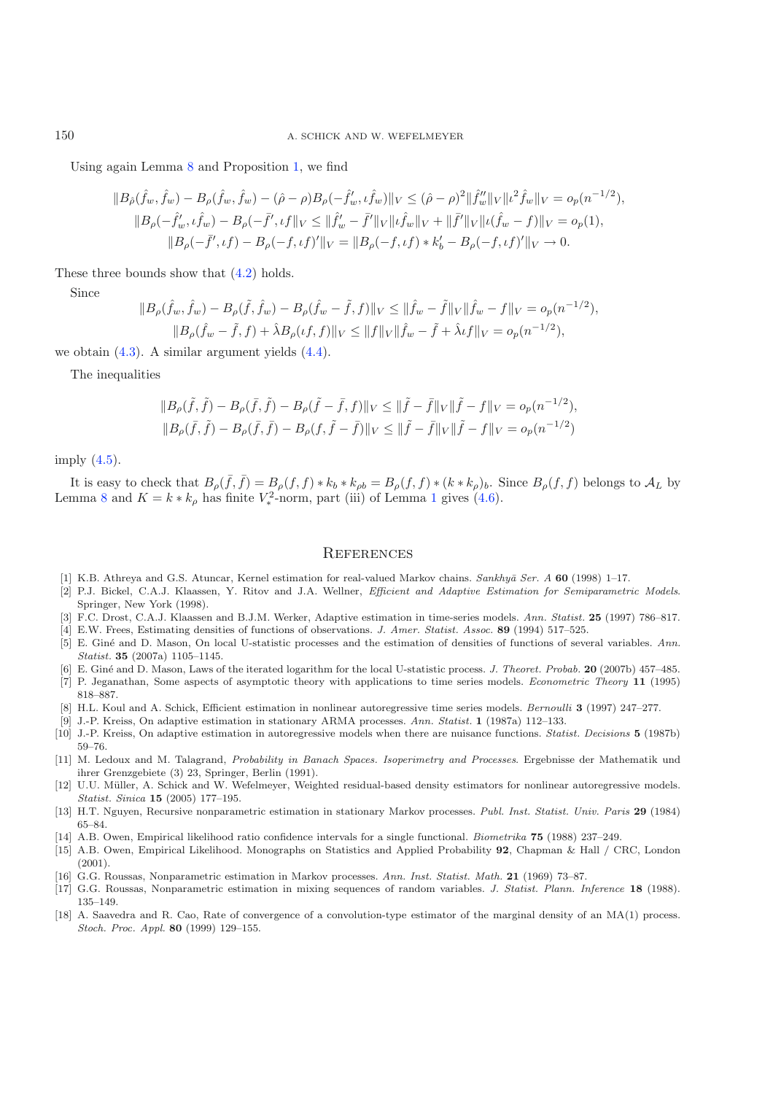150 A. SCHICK AND W. WEFELMEYER

Using again Lemma [8](#page-13-1) and Proposition [1,](#page-12-1) we find

$$
||B_{\hat{\rho}}(\hat{f}_w, \hat{f}_w) - B_{\rho}(\hat{f}_w, \hat{f}_w) - (\hat{\rho} - \rho)B_{\rho}(-\hat{f}'_w, \hat{f}_w)||_V \leq (\hat{\rho} - \rho)^2 ||\hat{f}''_w||_V ||\iota^2 \hat{f}_w||_V = o_p(n^{-1/2}),
$$
  
\n
$$
||B_{\rho}(-\hat{f}'_w, \iota \hat{f}_w) - B_{\rho}(-\bar{f}', \iota f||_V \leq ||\hat{f}'_w - \bar{f}'||_V ||\iota \hat{f}_w||_V + ||\bar{f}'||_V ||\iota (\hat{f}_w - f)||_V = o_p(1),
$$
  
\n
$$
||B_{\rho}(-\bar{f}', \iota f) - B_{\rho}(-f, \iota f)'||_V = ||B_{\rho}(-f, \iota f) * k'_b - B_{\rho}(-f, \iota f)'||_V \to 0.
$$

These three bounds show that  $(4.2)$  holds.

Since

$$
||B_{\rho}(\hat{f}_w, \hat{f}_w) - B_{\rho}(\tilde{f}, \hat{f}_w) - B_{\rho}(\hat{f}_w - \tilde{f}, f)||_V \le ||\hat{f}_w - \tilde{f}||_V ||\hat{f}_w - f||_V = o_p(n^{-1/2}),
$$
  
\n
$$
||B_{\rho}(\hat{f}_w - \tilde{f}, f) + \lambda B_{\rho}(\iota f, f)||_V \le ||f||_V ||\hat{f}_w - \tilde{f} + \lambda \iota f||_V = o_p(n^{-1/2}),
$$

we obtain [\(4.3\)](#page-14-0). A similar argument yields [\(4.4\)](#page-14-0).

The inequalities

$$
||B_{\rho}(\tilde{f}, \tilde{f}) - B_{\rho}(\bar{f}, \tilde{f}) - B_{\rho}(\tilde{f} - \bar{f}, f)||_V \le ||\tilde{f} - \bar{f}||_V \, ||\tilde{f} - f||_V = o_p(n^{-1/2}),
$$
  
\n
$$
||B_{\rho}(\bar{f}, \tilde{f}) - B_{\rho}(\bar{f}, \bar{f}) - B_{\rho}(f, \tilde{f} - \bar{f})||_V \le ||\tilde{f} - \bar{f}||_V \, ||\tilde{f} - f||_V = o_p(n^{-1/2})
$$

imply [\(4.5\)](#page-14-0).

It is easy to check that  $B_{\rho}(\bar{f}, \bar{f}) = B_{\rho}(f, f) * k_b * k_{\rho b} = B_{\rho}(f, f) * (k * k_{\rho})_b$ . Since  $B_{\rho}(f, f)$  belongs to  $\mathcal{A}_L$  by Lemma [8](#page-13-1) and  $K = k * k_{\rho}$  has finite  $V_*^2$ -norm, part (iii) of Lemma [1](#page-6-1) gives [\(4.6\)](#page-14-0).

#### **REFERENCES**

- <span id="page-15-3"></span>[1] K.B. Athreya and G.S. Atuncar, Kernel estimation for real-valued Markov chains. Sankhy¯a Ser. A **60** (1998) 1–17.
- <span id="page-15-12"></span>[2] P.J. Bickel, C.A.J. Klaassen, Y. Ritov and J.A. Wellner, Efficient and Adaptive Estimation for Semiparametric Models. Springer, New York (1998).
- [3] F.C. Drost, C.A.J. Klaassen and B.J.M. Werker, Adaptive estimation in time-series models. Ann. Statist. **25** (1997) 786–817.
- <span id="page-15-16"></span><span id="page-15-6"></span><span id="page-15-5"></span>[4] E.W. Frees, Estimating densities of functions of observations. J. Amer. Statist. Assoc. **89** (1994) 517–525. [5] E. Giné and D. Mason, On local U-statistic processes and the estimation of densities of functions of several variables. Ann. Statist. **35** (2007a) 1105–1145.
- [6] E. Gin´e and D. Mason, Laws of the iterated logarithm for the local U-statistic process. J. Theoret. Probab. **20** (2007b) 457–485.
- <span id="page-15-15"></span><span id="page-15-7"></span>[7] P. Jeganathan, Some aspects of asymptotic theory with applications to time series models. Econometric Theory **11** (1995) 818–887.
- [8] H.L. Koul and A. Schick, Efficient estimation in nonlinear autoregressive time series models. Bernoulli **3** (1997) 247–277.
- [9] J.-P. Kreiss, On adaptive estimation in stationary ARMA processes. Ann. Statist. **1** (1987a) 112–133.
- <span id="page-15-14"></span><span id="page-15-13"></span><span id="page-15-11"></span>[10] J.-P. Kreiss, On adaptive estimation in autoregressive models when there are nuisance functions. Statist. Decisions **5** (1987b) 59–76.
- <span id="page-15-10"></span>[11] M. Ledoux and M. Talagrand, Probability in Banach Spaces. Isoperimetry and Processes. Ergebnisse der Mathematik und ihrer Grenzgebiete (3) 23, Springer, Berlin (1991).
- <span id="page-15-17"></span>[12] U.U. Müller, A. Schick and W. Wefelmeyer, Weighted residual-based density estimators for nonlinear autoregressive models. Statist. Sinica **15** (2005) 177–195.
- <span id="page-15-2"></span>[13] H.T. Nguyen, Recursive nonparametric estimation in stationary Markov processes. Publ. Inst. Statist. Univ. Paris **29** (1984) 65–84.
- [14] A.B. Owen, Empirical likelihood ratio confidence intervals for a single functional. Biometrika **75** (1988) 237–249.
- <span id="page-15-9"></span><span id="page-15-8"></span>[15] A.B. Owen, Empirical Likelihood. Monographs on Statistics and Applied Probability **92**, Chapman & Hall / CRC, London  $(2001).$
- [16] G.G. Roussas, Nonparametric estimation in Markov processes. Ann. Inst. Statist. Math. **21** (1969) 73–87.
- <span id="page-15-1"></span><span id="page-15-0"></span>[17] G.G. Roussas, Nonparametric estimation in mixing sequences of random variables. J. Statist. Plann. Inference **18** (1988). 135–149.
- <span id="page-15-4"></span>[18] A. Saavedra and R. Cao, Rate of convergence of a convolution-type estimator of the marginal density of an MA(1) process. Stoch. Proc. Appl. **80** (1999) 129–155.